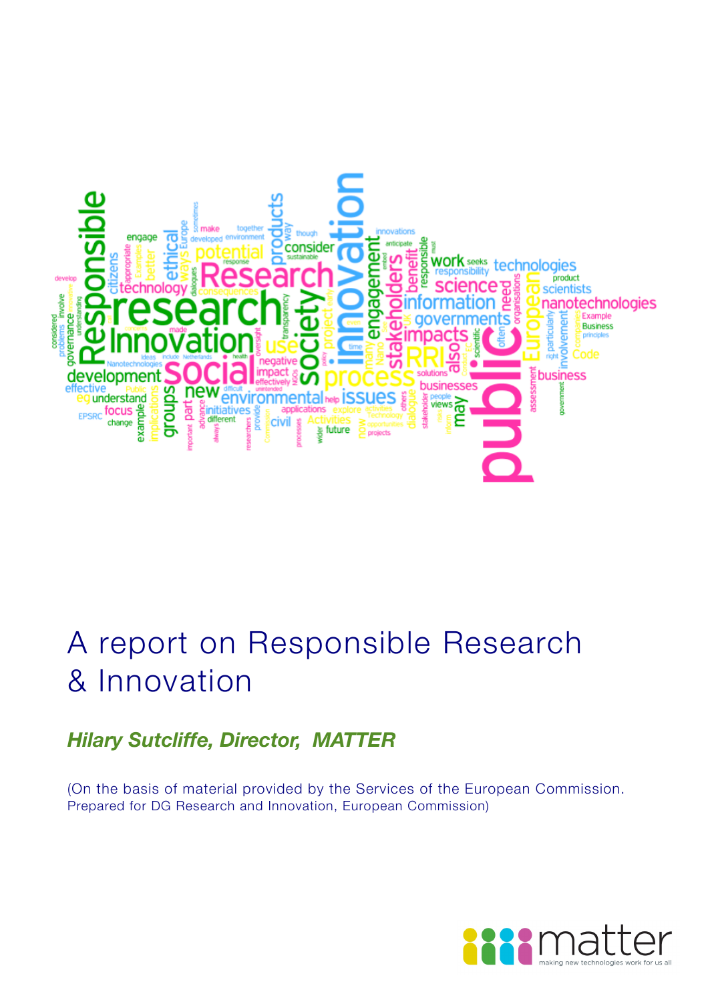

# A report on Responsible Research & Innovation

## *Hilary Sutcliffe, Director, MATTER*

(On the basis of material provided by the Services of the European Commission. Prepared for DG Research and Innovation, European Commission)

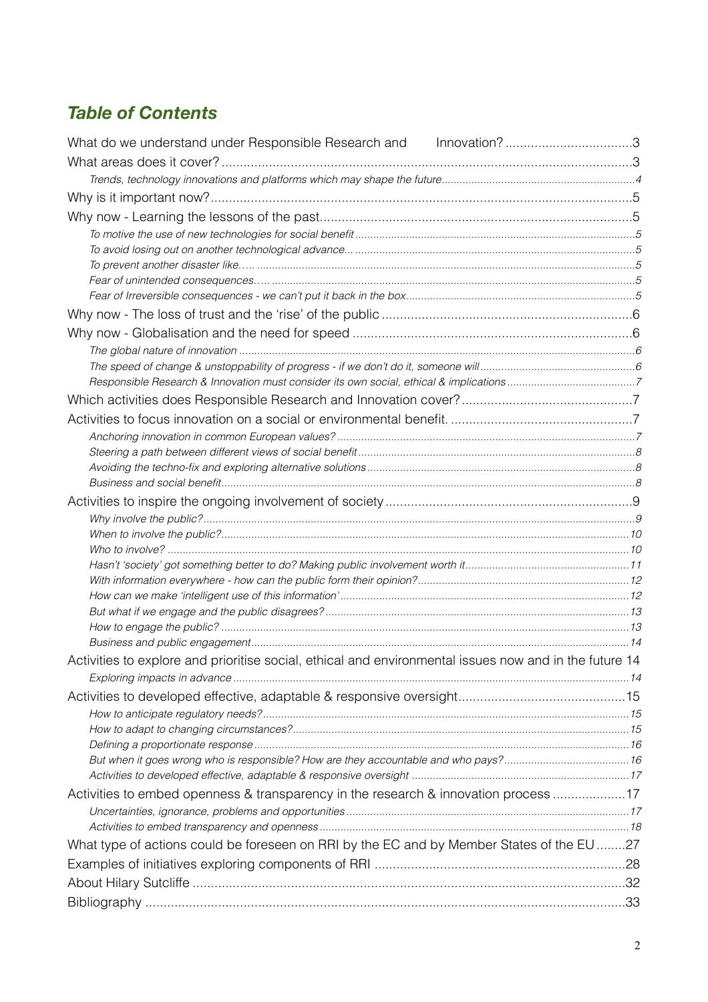## *Table of Contents*

| What do we understand under Responsible Research and Innovation?3                                      |  |
|--------------------------------------------------------------------------------------------------------|--|
|                                                                                                        |  |
|                                                                                                        |  |
|                                                                                                        |  |
|                                                                                                        |  |
|                                                                                                        |  |
|                                                                                                        |  |
|                                                                                                        |  |
|                                                                                                        |  |
|                                                                                                        |  |
|                                                                                                        |  |
|                                                                                                        |  |
|                                                                                                        |  |
|                                                                                                        |  |
|                                                                                                        |  |
|                                                                                                        |  |
|                                                                                                        |  |
|                                                                                                        |  |
|                                                                                                        |  |
|                                                                                                        |  |
|                                                                                                        |  |
|                                                                                                        |  |
|                                                                                                        |  |
|                                                                                                        |  |
|                                                                                                        |  |
|                                                                                                        |  |
|                                                                                                        |  |
|                                                                                                        |  |
|                                                                                                        |  |
|                                                                                                        |  |
|                                                                                                        |  |
| Activities to explore and prioritise social, ethical and environmental issues now and in the future 14 |  |
|                                                                                                        |  |
|                                                                                                        |  |
|                                                                                                        |  |
|                                                                                                        |  |
|                                                                                                        |  |
|                                                                                                        |  |
|                                                                                                        |  |
| Activities to embed openness & transparency in the research & innovation process 17                    |  |
|                                                                                                        |  |
|                                                                                                        |  |
| What type of actions could be foreseen on RRI by the EC and by Member States of the EU 27              |  |
|                                                                                                        |  |
|                                                                                                        |  |
|                                                                                                        |  |
|                                                                                                        |  |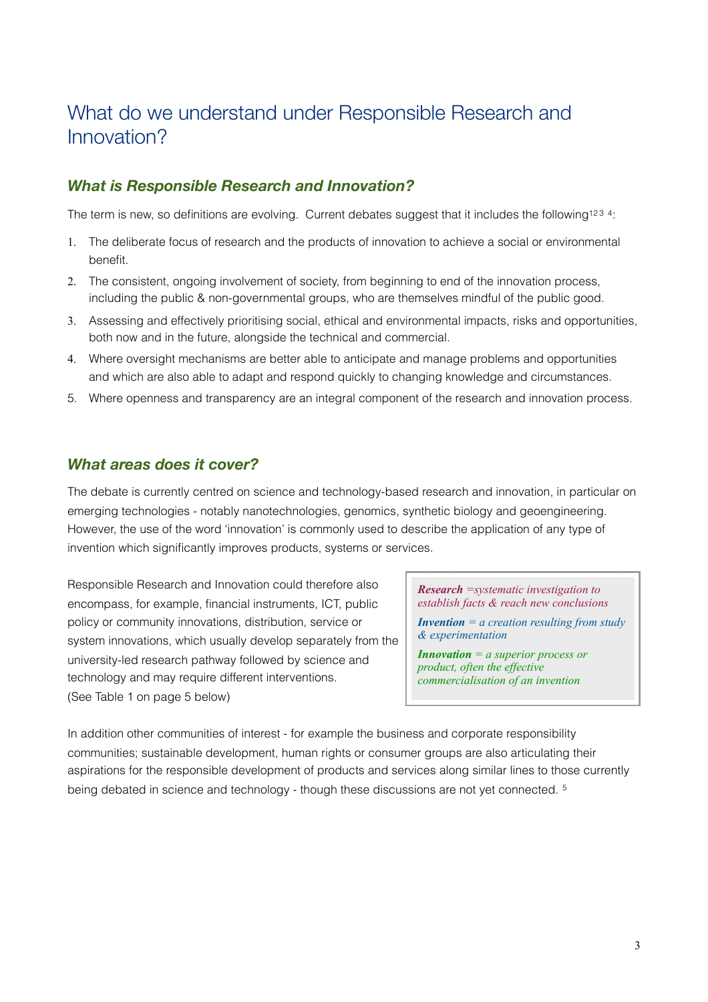## <span id="page-2-0"></span>What do we understand under Responsible Research and Innovation?

### *What is Responsible Research and Innovation?*

The term is new, so definitions are evolving. Current debates suggest that it includes the following<sup>1[2](#page-32-2)[3](#page-32-3)</sup> <sup>4</sup>:

- 1. The deliberate focus of research and the products of innovation to achieve a social or environmental benefit.
- 2. The consistent, ongoing involvement of society, from beginning to end of the innovation process, including the public & non-governmental groups, who are themselves mindful of the public good.
- 3. Assessing and effectively prioritising social, ethical and environmental impacts, risks and opportunities, both now and in the future, alongside the technical and commercial.
- 4. Where oversight mechanisms are better able to anticipate and manage problems and opportunities and which are also able to adapt and respond quickly to changing knowledge and circumstances.
- 5. Where openness and transparency are an integral component of the research and innovation process.

### <span id="page-2-1"></span>*What areas does it cover?*

The debate is currently centred on science and technology-based research and innovation, in particular on emerging technologies - notably nanotechnologies, genomics, synthetic biology and geoengineering. However, the use of the word 'innovation' is commonly used to describe the application of any type of invention which significantly improves products, systems or services.

Responsible Research and Innovation could therefore also encompass, for example, financial instruments, ICT, public policy or community innovations, distribution, service or system innovations, which usually develop separately from the university-led research pathway followed by science and technology and may require different interventions. (See Table 1 on page 5 below)

*Research =systematic investigation to establish facts & reach new conclusions* 

*Invention = a creation resulting from study & experimentation*

*Innovation = a superior process or product, often the effective commercialisation of an invention*

In addition other communities of interest - for example the business and corporate responsibility communities; sustainable development, human rights or consumer groups are also articulating their aspirations for the responsible development of products and services along similar lines to those currently being debated in science and technology - though these discussions are not yet connected. [5](#page-32-5)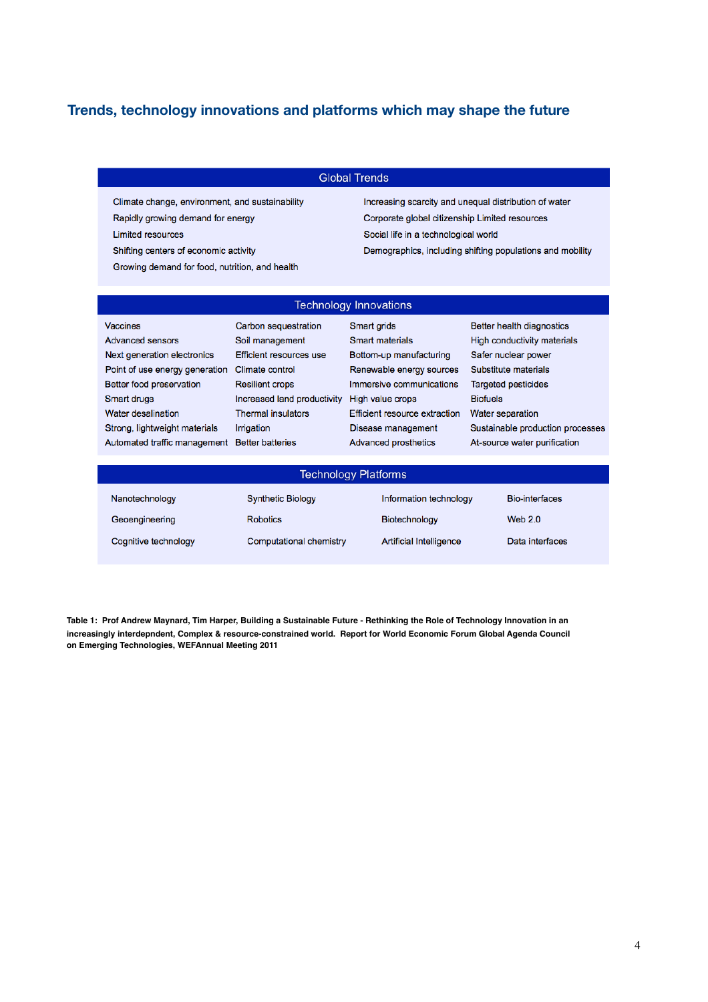#### <span id="page-3-0"></span>**Trends, technology innovations and platforms which may shape the future**

#### **Global Trends**

Climate change, environment, and sustainability

Rapidly growing demand for energy

**Limited resources** 

Shifting centers of economic activity

Growing demand for food, nutrition, and health

Increasing scarcity and unequal distribution of water Corporate global citizenship Limited resources Social life in a technological world Demographics, including shifting populations and mobility

#### **Technology Innovations**

| <b>Vaccines</b>                               | Carbon sequestration        | Smart grids                   | Better health diagnostics        |
|-----------------------------------------------|-----------------------------|-------------------------------|----------------------------------|
| <b>Advanced sensors</b>                       | Soil management             | <b>Smart materials</b>        | High conductivity materials      |
| Next generation electronics                   | Efficient resources use     | Bottom-up manufacturing       | Safer nuclear power              |
| Point of use energy generation                | Climate control             | Renewable energy sources      | Substitute materials             |
| Better food preservation                      | <b>Resilient crops</b>      | Immersive communications      | <b>Targeted pesticides</b>       |
| Smart drugs                                   | Increased land productivity | High value crops              | <b>Biofuels</b>                  |
| Water desalination                            | <b>Thermal insulators</b>   | Efficient resource extraction | Water separation                 |
| Strong, lightweight materials                 | Irrigation                  | Disease management            | Sustainable production processes |
| Automated traffic management Better batteries |                             | <b>Advanced prosthetics</b>   | At-source water purification     |
|                                               |                             |                               |                                  |

| <b>Technology Platforms</b> |                          |                                |                       |
|-----------------------------|--------------------------|--------------------------------|-----------------------|
| Nanotechnology              | <b>Synthetic Biology</b> | Information technology         | <b>Bio-interfaces</b> |
| Geoengineering              | Robotics                 | Biotechnology                  | Web $2.0$             |
| Cognitive technology        | Computational chemistry  | <b>Artificial Intelligence</b> | Data interfaces       |

**Table 1: Prof Andrew Maynard, Tim Harper, Building a Sustainable Future - Rethinking the Role of Technology Innovation in an increasingly interdepndent, Complex & resource-constrained world. Report for World Economic Forum Global Agenda Council on Emerging Technologies, WEFAnnual Meeting 2011**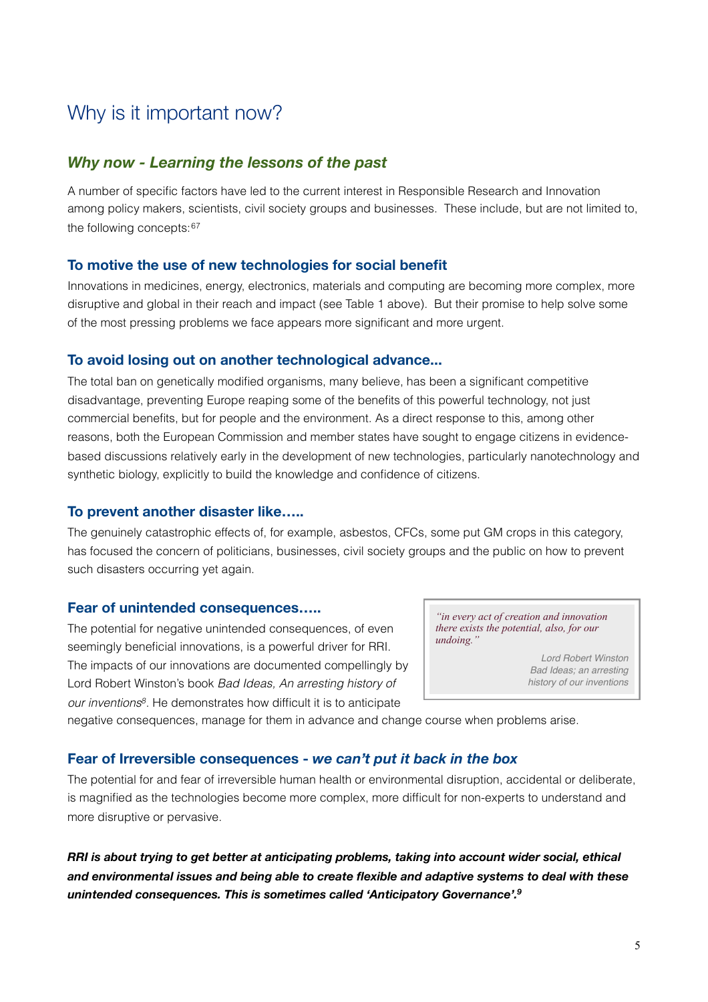## <span id="page-4-0"></span>Why is it important now?

#### <span id="page-4-1"></span>*Why now - Learning the lessons of the past*

A number of specific factors have led to the current interest in Responsible Research and Innovation among policy makers, scientists, civil society groups and businesses. These include, but are not limited to, the following concepts: [6](#page-32-6)[7](#page-32-7)

#### <span id="page-4-2"></span>**To motive the use of new technologies for social benefit**

Innovations in medicines, energy, electronics, materials and computing are becoming more complex, more disruptive and global in their reach and impact (see Table 1 above). But their promise to help solve some of the most pressing problems we face appears more significant and more urgent.

#### <span id="page-4-3"></span>**To avoid losing out on another technological advance...**

The total ban on genetically modified organisms, many believe, has been a significant competitive disadvantage, preventing Europe reaping some of the benefits of this powerful technology, not just commercial benefits, but for people and the environment. As a direct response to this, among other reasons, both the European Commission and member states have sought to engage citizens in evidencebased discussions relatively early in the development of new technologies, particularly nanotechnology and synthetic biology, explicitly to build the knowledge and confidence of citizens.

#### <span id="page-4-4"></span>**To prevent another disaster like…..**

The genuinely catastrophic effects of, for example, asbestos, CFCs, some put GM crops in this category, has focused the concern of politicians, businesses, civil society groups and the public on how to prevent such disasters occurring yet again.

#### <span id="page-4-5"></span>**Fear of unintended consequences…..**

The potential for negative unintended consequences, of even seemingly beneficial innovations, is a powerful driver for RRI. The impacts of our innovations are documented compellingly by Lord Robert Winston's book *Bad Ideas, An arresting history of our inventions[8](#page-32-8)*. He demonstrates how difficult it is to anticipate

*"in every act of creation and innovation there exists the potential, also, for our undoing."*

> *Lord Robert Winston Bad Ideas; an arresting history of our inventions*

<span id="page-4-6"></span>negative consequences, manage for them in advance and change course when problems arise.

#### **Fear of Irreversible consequences -** *we can't put it back in the box*

The potential for and fear of irreversible human health or environmental disruption, accidental or deliberate, is magnified as the technologies become more complex, more difficult for non-experts to understand and more disruptive or pervasive.

*RRI is about trying to get better at anticipating problems, taking into account wider social, ethical and environmental issues and being able to create flexible and adaptive systems to deal with these unintended consequences. This is sometimes called 'Anticipatory Governance'.[9](#page-32-9)*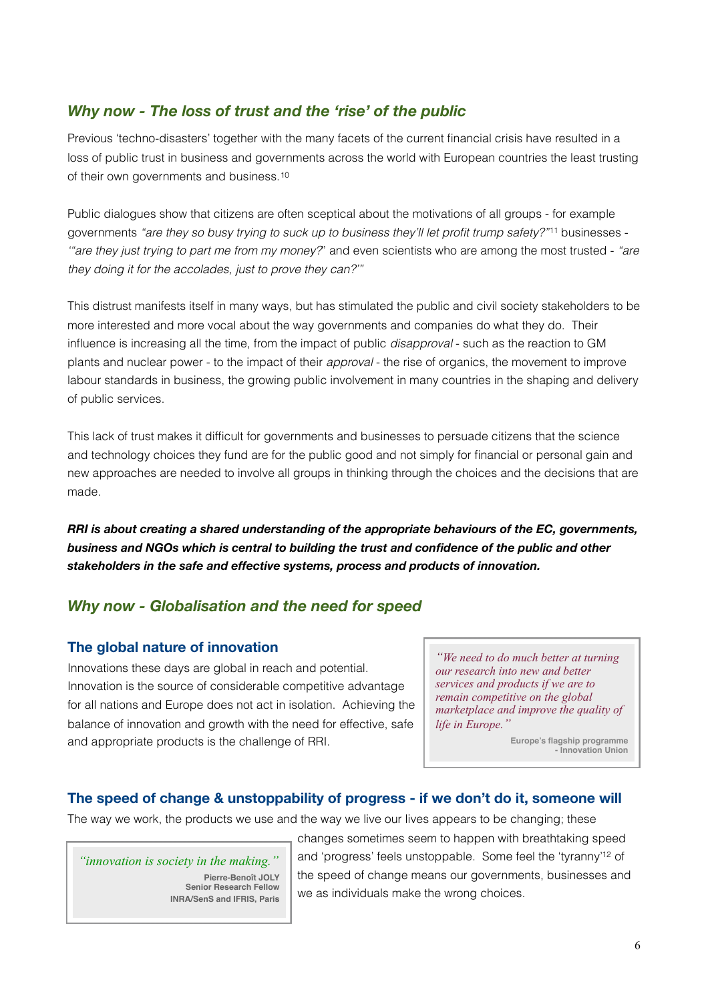### <span id="page-5-0"></span>*Why now - The loss of trust and the 'rise' of the public*

Previous 'techno-disasters' together with the many facets of the current financial crisis have resulted in a loss of public trust in business and governments across the world with European countries the least trusting of their own governments and business.[10](#page-32-10)

Public dialogues show that citizens are often sceptical about the motivations of all groups - for example governments *"are they so busy trying to suck up to business they'll let profit trump safety?"*[11](#page-32-11) businesses - *'"are they just trying to part me from my money?*" and even scientists who are among the most trusted - *"are they doing it for the accolades, just to prove they can?'"*

This distrust manifests itself in many ways, but has stimulated the public and civil society stakeholders to be more interested and more vocal about the way governments and companies do what they do. Their influence is increasing all the time, from the impact of public *disapproval* - such as the reaction to GM plants and nuclear power - to the impact of their *approval* - the rise of organics, the movement to improve labour standards in business, the growing public involvement in many countries in the shaping and delivery of public services.

This lack of trust makes it difficult for governments and businesses to persuade citizens that the science and technology choices they fund are for the public good and not simply for financial or personal gain and new approaches are needed to involve all groups in thinking through the choices and the decisions that are made.

*RRI is about creating a shared understanding of the appropriate behaviours of the EC, governments, business and NGOs which is central to building the trust and confidence of the public and other stakeholders in the safe and effective systems, process and products of innovation.*

### <span id="page-5-1"></span>*Why now - Globalisation and the need for speed*

#### <span id="page-5-2"></span>**The global nature of innovation**

Innovations these days are global in reach and potential. Innovation is the source of considerable competitive advantage for all nations and Europe does not act in isolation. Achieving the balance of innovation and growth with the need for effective, safe and appropriate products is the challenge of RRI.

*"We need to do much better at turning our research into new and better services and products if we are to remain competitive on the global marketplace and improve the quality of life in Europe."*

> **Europe's flagship programme - Innovation Union**

#### <span id="page-5-3"></span>**The speed of change & unstoppability of progress - if we don't do it, someone will**

The way we work, the products we use and the way we live our lives appears to be changing; these

*"innovation is society in the making."* **Pierre-Benoît JOLY Senior Research Fellow INRA/SenS and IFRIS, Paris** changes sometimes seem to happen with breathtaking speed and 'progress' feels unstoppable. Some feel the 'tyranny['12](#page-32-12) of the speed of change means our governments, businesses and we as individuals make the wrong choices.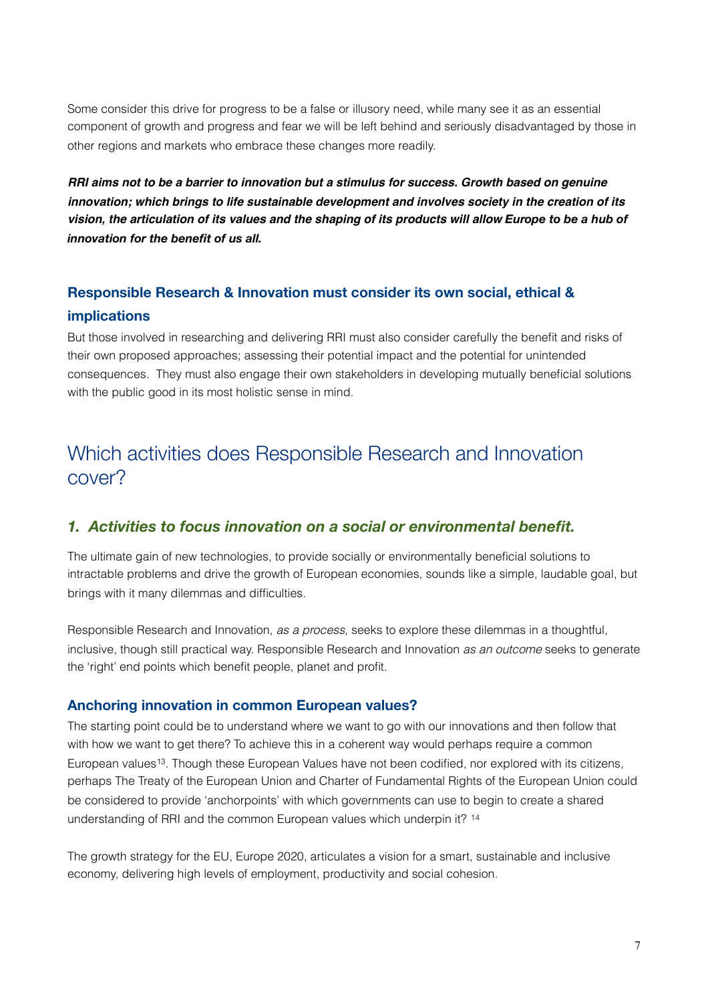Some consider this drive for progress to be a false or illusory need, while many see it as an essential component of growth and progress and fear we will be left behind and seriously disadvantaged by those in other regions and markets who embrace these changes more readily.

*RRI aims not to be a barrier to innovation but a stimulus for success. Growth based on genuine innovation; which brings to life sustainable development and involves society in the creation of its vision, the articulation of its values and the shaping of its products will allow Europe to be a hub of innovation for the benefit of us all.*

## <span id="page-6-0"></span>**Responsible Research & Innovation must consider its own social, ethical & implications**

But those involved in researching and delivering RRI must also consider carefully the benefit and risks of their own proposed approaches; assessing their potential impact and the potential for unintended consequences. They must also engage their own stakeholders in developing mutually beneficial solutions with the public good in its most holistic sense in mind.

## <span id="page-6-1"></span>Which activities does Responsible Research and Innovation cover?

### <span id="page-6-2"></span>*1. Activities to focus innovation on a social or environmental benefit.*

The ultimate gain of new technologies, to provide socially or environmentally beneficial solutions to intractable problems and drive the growth of European economies, sounds like a simple, laudable goal, but brings with it many dilemmas and difficulties.

Responsible Research and Innovation, *as a process*, seeks to explore these dilemmas in a thoughtful, inclusive, though still practical way. Responsible Research and Innovation *as an outcome* seeks to generate the 'right' end points which benefit people, planet and profit.

#### <span id="page-6-3"></span>**Anchoring innovation in common European values?**

The starting point could be to understand where we want to go with our innovations and then follow that with how we want to get there? To achieve this in a coherent way would perhaps require a common European values<sup>13</sup>. Though these European Values have not been codified, nor explored with its citizens, perhaps The Treaty of the European Union and Charter of Fundamental Rights of the European Union could be considered to provide 'anchorpoints' with which governments can use to begin to create a shared understanding of RRI and the common European values which underpin it? [14](#page-32-14)

The growth strategy for the EU, Europe 2020, articulates a vision for a smart, sustainable and inclusive economy, delivering high levels of employment, productivity and social cohesion.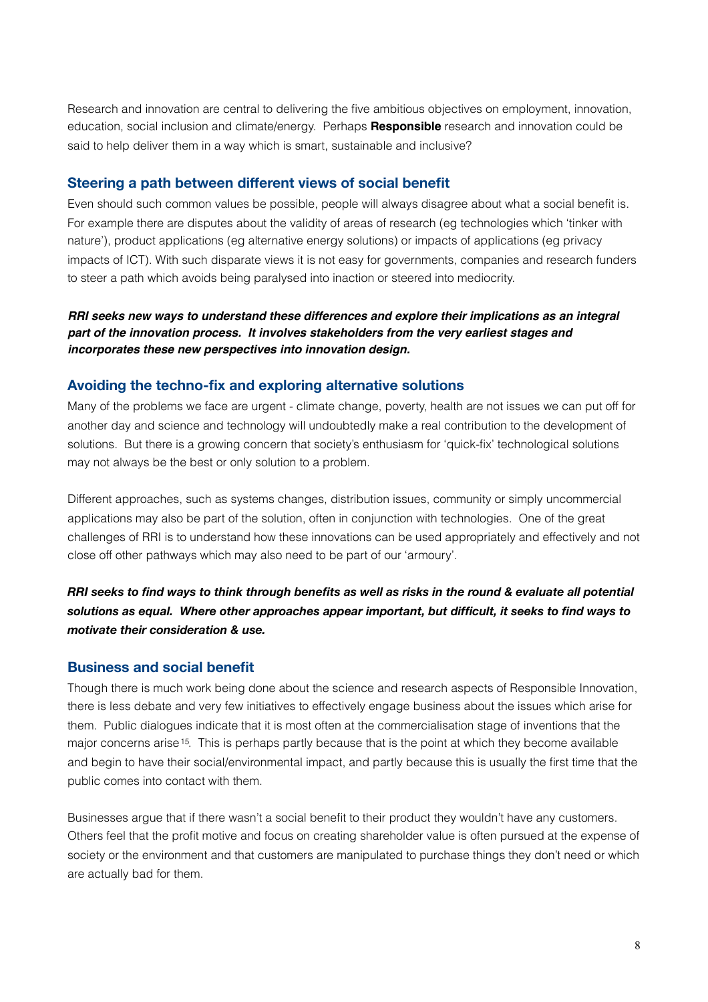Research and innovation are central to delivering the five ambitious objectives on employment, innovation, education, social inclusion and climate/energy. Perhaps **Responsible** research and innovation could be said to help deliver them in a way which is smart, sustainable and inclusive?

#### <span id="page-7-0"></span>**Steering a path between different views of social benefit**

Even should such common values be possible, people will always disagree about what a social benefit is. For example there are disputes about the validity of areas of research (eg technologies which 'tinker with nature'), product applications (eg alternative energy solutions) or impacts of applications (eg privacy impacts of ICT). With such disparate views it is not easy for governments, companies and research funders to steer a path which avoids being paralysed into inaction or steered into mediocrity.

*RRI seeks new ways to understand these differences and explore their implications as an integral part of the innovation process. It involves stakeholders from the very earliest stages and incorporates these new perspectives into innovation design.*

#### <span id="page-7-1"></span>**Avoiding the techno-fix and exploring alternative solutions**

Many of the problems we face are urgent - climate change, poverty, health are not issues we can put off for another day and science and technology will undoubtedly make a real contribution to the development of solutions. But there is a growing concern that society's enthusiasm for 'quick-fix' technological solutions may not always be the best or only solution to a problem.

Different approaches, such as systems changes, distribution issues, community or simply uncommercial applications may also be part of the solution, often in conjunction with technologies. One of the great challenges of RRI is to understand how these innovations can be used appropriately and effectively and not close off other pathways which may also need to be part of our 'armoury'.

RRI seeks to find ways to think through benefits as well as risks in the round & evaluate all potential *solutions as equal. Where other approaches appear important, but difficult, it seeks to find ways to motivate their consideration & use.*

#### <span id="page-7-2"></span>**Business and social benefit**

Though there is much work being done about the science and research aspects of Responsible Innovation, there is less debate and very few initiatives to effectively engage business about the issues which arise for them. Public dialogues indicate that it is most often at the commercialisation stage of inventions that the major concerns arise[15](#page-32-15). This is perhaps partly because that is the point at which they become available and begin to have their social/environmental impact, and partly because this is usually the first time that the public comes into contact with them.

Businesses argue that if there wasn't a social benefit to their product they wouldn't have any customers. Others feel that the profit motive and focus on creating shareholder value is often pursued at the expense of society or the environment and that customers are manipulated to purchase things they don't need or which are actually bad for them.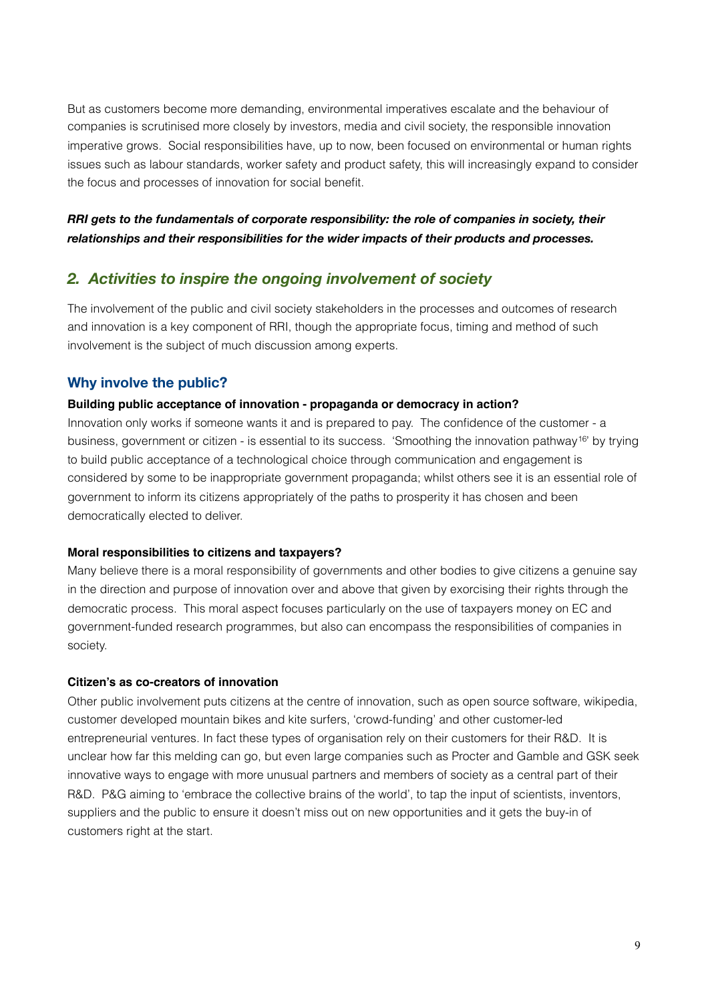But as customers become more demanding, environmental imperatives escalate and the behaviour of companies is scrutinised more closely by investors, media and civil society, the responsible innovation imperative grows. Social responsibilities have, up to now, been focused on environmental or human rights issues such as labour standards, worker safety and product safety, this will increasingly expand to consider the focus and processes of innovation for social benefit.

#### *RRI gets to the fundamentals of corporate responsibility: the role of companies in society, their relationships and their responsibilities for the wider impacts of their products and processes.*

#### <span id="page-8-0"></span>*2. Activities to inspire the ongoing involvement of society*

The involvement of the public and civil society stakeholders in the processes and outcomes of research and innovation is a key component of RRI, though the appropriate focus, timing and method of such involvement is the subject of much discussion among experts.

#### <span id="page-8-1"></span>**Why involve the public?**

#### **Building public acceptance of innovation - propaganda or democracy in action?**

Innovation only works if someone wants it and is prepared to pay. The confidence of the customer - a business, government or citizen - is essential to its success. 'Smoothing the innovation pathway[16'](#page-32-16) by trying to build public acceptance of a technological choice through communication and engagement is considered by some to be inappropriate government propaganda; whilst others see it is an essential role of government to inform its citizens appropriately of the paths to prosperity it has chosen and been democratically elected to deliver.

#### **Moral responsibilities to citizens and taxpayers?**

Many believe there is a moral responsibility of governments and other bodies to give citizens a genuine say in the direction and purpose of innovation over and above that given by exorcising their rights through the democratic process. This moral aspect focuses particularly on the use of taxpayers money on EC and government-funded research programmes, but also can encompass the responsibilities of companies in society.

#### **Citizen's as co-creators of innovation**

Other public involvement puts citizens at the centre of innovation, such as open source software, wikipedia, customer developed mountain bikes and kite surfers, 'crowd-funding' and other customer-led entrepreneurial ventures. In fact these types of organisation rely on their customers for their R&D. It is unclear how far this melding can go, but even large companies such as Procter and Gamble and GSK seek innovative ways to engage with more unusual partners and members of society as a central part of their R&D. P&G aiming to 'embrace the collective brains of the world', to tap the input of scientists, inventors, suppliers and the public to ensure it doesn't miss out on new opportunities and it gets the buy-in of customers right at the start.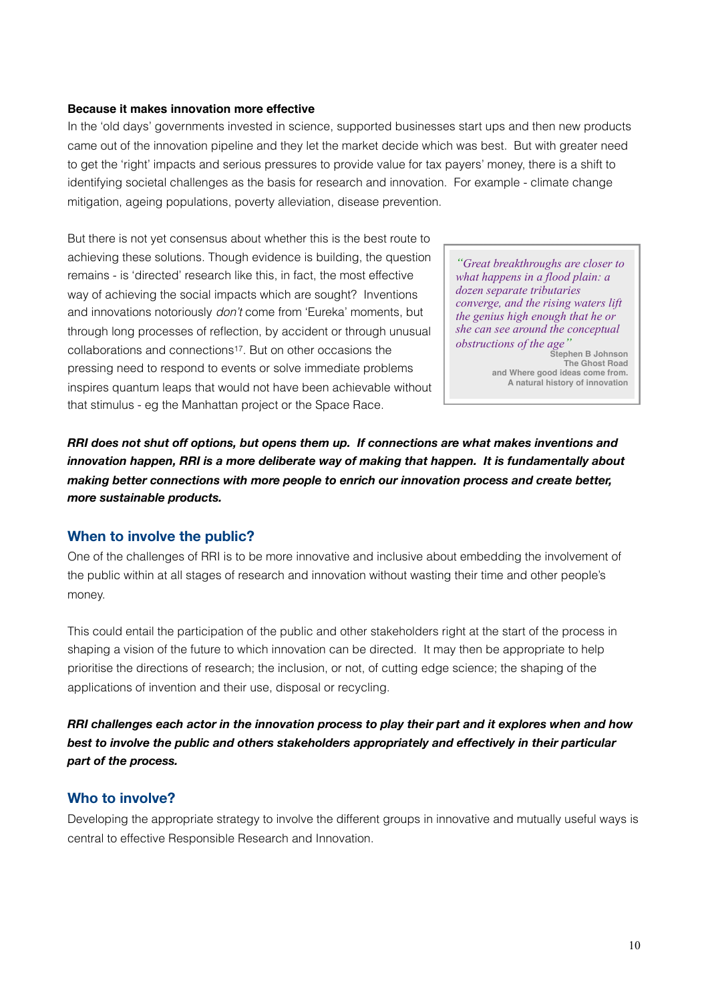#### **Because it makes innovation more effective**

In the 'old days' governments invested in science, supported businesses start ups and then new products came out of the innovation pipeline and they let the market decide which was best. But with greater need to get the 'right' impacts and serious pressures to provide value for tax payers' money, there is a shift to identifying societal challenges as the basis for research and innovation. For example - climate change mitigation, ageing populations, poverty alleviation, disease prevention.

But there is not yet consensus about whether this is the best route to achieving these solutions. Though evidence is building, the question remains - is 'directed' research like this, in fact, the most effective way of achieving the social impacts which are sought? Inventions and innovations notoriously *don't* come from 'Eureka' moments, but through long processes of reflection, by accident or through unusual collaborations and connections[17](#page-32-17). But on other occasions the pressing need to respond to events or solve immediate problems inspires quantum leaps that would not have been achievable without that stimulus - eg the Manhattan project or the Space Race.

*"Great breakthroughs are closer to what happens in a flood plain: a dozen separate tributaries converge, and the rising waters lift the genius high enough that he or she can see around the conceptual obstructions of the age"*

**Stephen B Johnson The Ghost Road and Where good ideas come from. A natural history of innovation**

*RRI does not shut off options, but opens them up. If connections are what makes inventions and innovation happen, RRI is a more deliberate way of making that happen. It is fundamentally about making better connections with more people to enrich our innovation process and create better, more sustainable products.*

#### <span id="page-9-0"></span>**When to involve the public?**

One of the challenges of RRI is to be more innovative and inclusive about embedding the involvement of the public within at all stages of research and innovation without wasting their time and other people's money.

This could entail the participation of the public and other stakeholders right at the start of the process in shaping a vision of the future to which innovation can be directed. It may then be appropriate to help prioritise the directions of research; the inclusion, or not, of cutting edge science; the shaping of the applications of invention and their use, disposal or recycling.

RRI challenges each actor in the innovation process to play their part and it explores when and how *best to involve the public and others stakeholders appropriately and effectively in their particular part of the process.*

#### <span id="page-9-1"></span>**Who to involve?**

Developing the appropriate strategy to involve the different groups in innovative and mutually useful ways is central to effective Responsible Research and Innovation.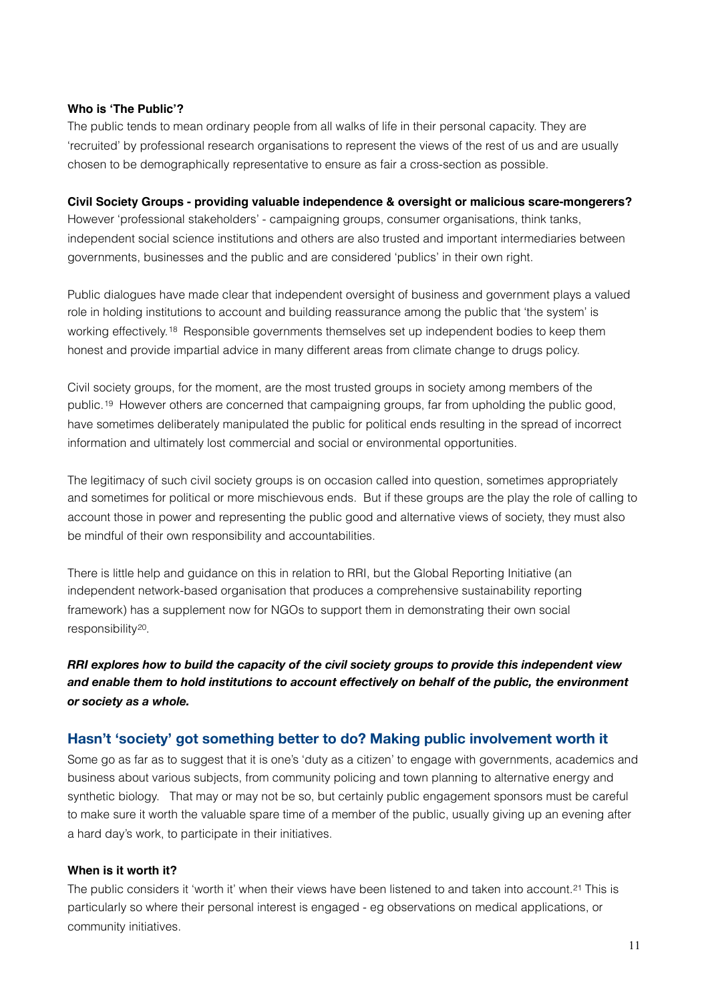#### **Who is 'The Public'?**

The public tends to mean ordinary people from all walks of life in their personal capacity. They are 'recruited' by professional research organisations to represent the views of the rest of us and are usually chosen to be demographically representative to ensure as fair a cross-section as possible.

#### **Civil Society Groups - providing valuable independence & oversight or malicious scare-mongerers?**

However 'professional stakeholders' - campaigning groups, consumer organisations, think tanks, independent social science institutions and others are also trusted and important intermediaries between governments, businesses and the public and are considered 'publics' in their own right.

Public dialogues have made clear that independent oversight of business and government plays a valued role in holding institutions to account and building reassurance among the public that 'the system' is working effectively.[18](#page-33-0) Responsible governments themselves set up independent bodies to keep them honest and provide impartial advice in many different areas from climate change to drugs policy.

Civil society groups, for the moment, are the most trusted groups in society among members of the public.[19](#page-33-1) However others are concerned that campaigning groups, far from upholding the public good, have sometimes deliberately manipulated the public for political ends resulting in the spread of incorrect information and ultimately lost commercial and social or environmental opportunities.

The legitimacy of such civil society groups is on occasion called into question, sometimes appropriately and sometimes for political or more mischievous ends. But if these groups are the play the role of calling to account those in power and representing the public good and alternative views of society, they must also be mindful of their own responsibility and accountabilities.

There is little help and guidance on this in relation to RRI, but the Global Reporting Initiative (an independent network-based organisation that produces a comprehensive sustainability reporting framework) has a supplement now for NGOs to support them in demonstrating their own social responsibility[20.](#page-33-2)

*RRI explores how to build the capacity of the civil society groups to provide this independent view and enable them to hold institutions to account effectively on behalf of the public, the environment or society as a whole.*

#### <span id="page-10-0"></span>**Hasn't 'society' got something better to do? Making public involvement worth it**

Some go as far as to suggest that it is one's 'duty as a citizen' to engage with governments, academics and business about various subjects, from community policing and town planning to alternative energy and synthetic biology. That may or may not be so, but certainly public engagement sponsors must be careful to make sure it worth the valuable spare time of a member of the public, usually giving up an evening after a hard day's work, to participate in their initiatives.

#### **When is it worth it?**

The public considers it 'worth it' when their views have been listened to and taken into account.<sup>21</sup> This is particularly so where their personal interest is engaged - eg observations on medical applications, or community initiatives.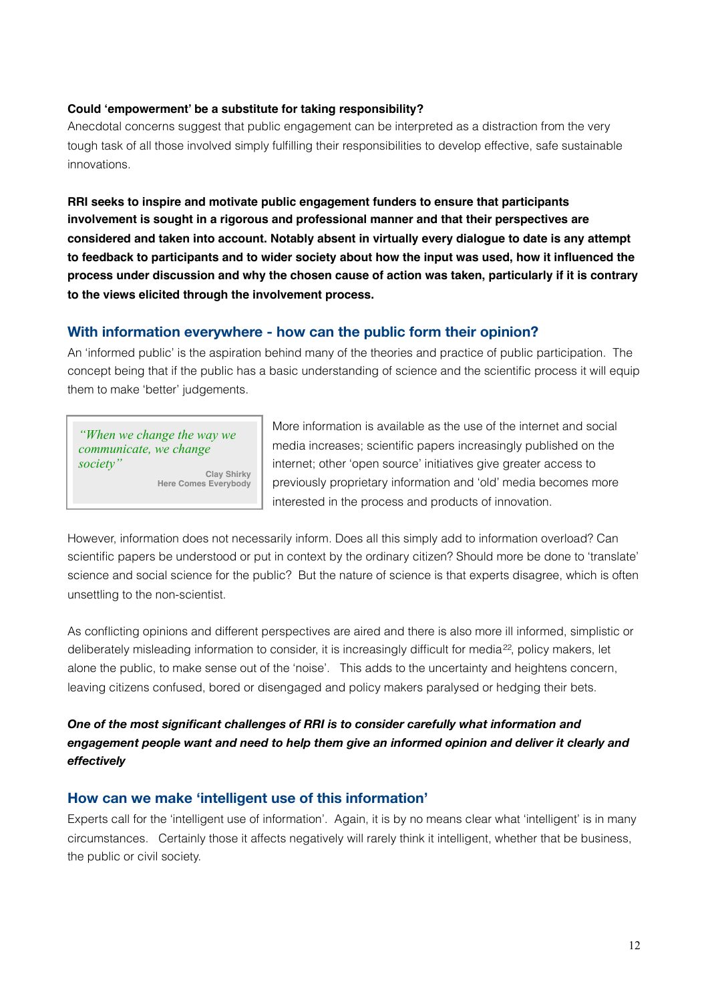#### **Could 'empowerment' be a substitute for taking responsibility?**

Anecdotal concerns suggest that public engagement can be interpreted as a distraction from the very tough task of all those involved simply fulfilling their responsibilities to develop effective, safe sustainable innovations.

**RRI seeks to inspire and motivate public engagement funders to ensure that participants involvement is sought in a rigorous and professional manner and that their perspectives are considered and taken into account. Notably absent in virtually every dialogue to date is any attempt to feedback to participants and to wider society about how the input was used, how it influenced the process under discussion and why the chosen cause of action was taken, particularly if it is contrary to the views elicited through the involvement process.**

#### <span id="page-11-0"></span>**With information everywhere - how can the public form their opinion?**

An 'informed public' is the aspiration behind many of the theories and practice of public participation. The concept being that if the public has a basic understanding of science and the scientific process it will equip them to make 'better' judgements.

*"When we change the way we communicate, we change society"*

**Clay Shirky Here Comes Everybody**

More information is available as the use of the internet and social media increases; scientific papers increasingly published on the internet; other 'open source' initiatives give greater access to previously proprietary information and 'old' media becomes more interested in the process and products of innovation.

However, information does not necessarily inform. Does all this simply add to information overload? Can scientific papers be understood or put in context by the ordinary citizen? Should more be done to 'translate' science and social science for the public? But the nature of science is that experts disagree, which is often unsettling to the non-scientist.

As conflicting opinions and different perspectives are aired and there is also more ill informed, simplistic or deliberately misleading information to consider, it is increasingly difficult for media<sup>[22](#page-33-4)</sup>, policy makers, let alone the public, to make sense out of the 'noise'. This adds to the uncertainty and heightens concern, leaving citizens confused, bored or disengaged and policy makers paralysed or hedging their bets.

#### *One of the most significant challenges of RRI is to consider carefully what information and engagement people want and need to help them give an informed opinion and deliver it clearly and effectively*

#### <span id="page-11-1"></span>**How can we make 'intelligent use of this information'**

Experts call for the 'intelligent use of information'. Again, it is by no means clear what 'intelligent' is in many circumstances. Certainly those it affects negatively will rarely think it intelligent, whether that be business, the public or civil society.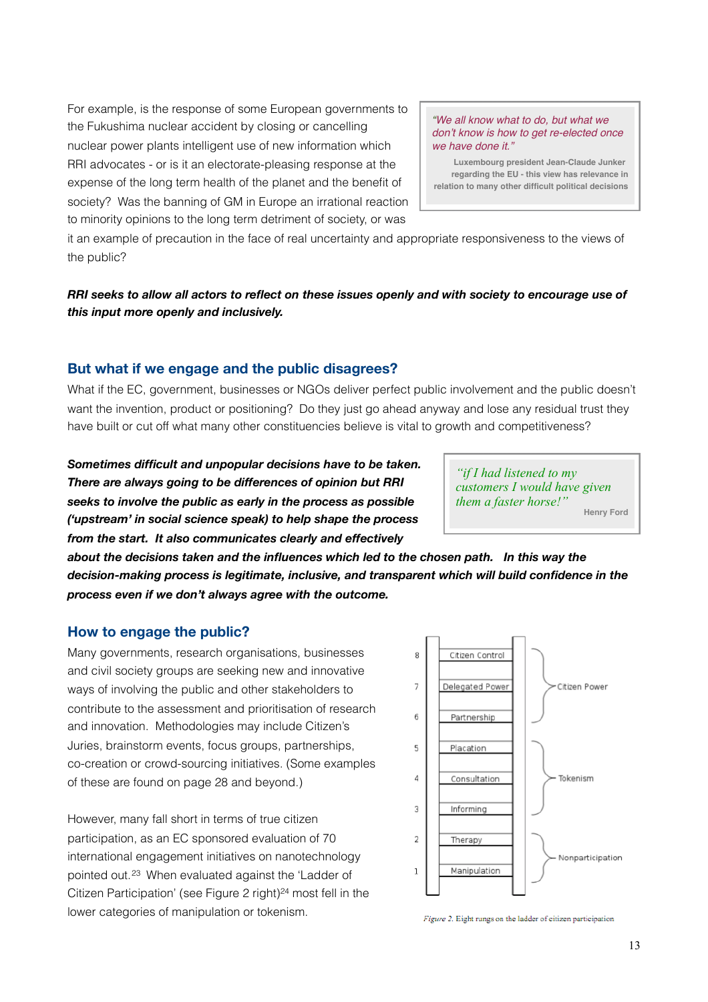For example, is the response of some European governments to the Fukushima nuclear accident by closing or cancelling nuclear power plants intelligent use of new information which RRI advocates - or is it an electorate-pleasing response at the expense of the long term health of the planet and the benefit of society? Was the banning of GM in Europe an irrational reaction to minority opinions to the long term detriment of society, or was

*"We all know what to do, but what we don't know is how to get re-elected once we have done it."*

**Luxembourg president Jean-Claude Junker regarding the EU - this view has relevance in relation to many other difficult political decisions**

it an example of precaution in the face of real uncertainty and appropriate responsiveness to the views of the public?

RRI seeks to allow all actors to reflect on these issues openly and with society to encourage use of *this input more openly and inclusively.* 

#### <span id="page-12-0"></span>**But what if we engage and the public disagrees?**

What if the EC, government, businesses or NGOs deliver perfect public involvement and the public doesn't want the invention, product or positioning? Do they just go ahead anyway and lose any residual trust they have built or cut off what many other constituencies believe is vital to growth and competitiveness?

*Sometimes difficult and unpopular decisions have to be taken. There are always going to be differences of opinion but RRI seeks to involve the public as early in the process as possible ('upstream' in social science speak) to help shape the process from the start. It also communicates clearly and effectively*

*"if I had listened to my customers I would have given them a faster horse!"* **Henry Ford**

*about the decisions taken and the influences which led to the chosen path. In this way the decision-making process is legitimate, inclusive, and transparent which will build confidence in the process even if we don't always agree with the outcome.*

#### <span id="page-12-1"></span>**How to engage the public?**

Many governments, research organisations, businesses and civil society groups are seeking new and innovative ways of involving the public and other stakeholders to contribute to the assessment and prioritisation of research and innovation. Methodologies may include Citizen's Juries, brainstorm events, focus groups, partnerships, co-creation or crowd-sourcing initiatives. (Some examples of these are found on page 28 and beyond.)

However, many fall short in terms of true citizen participation, as an EC sponsored evaluation of 70 international engagement initiatives on nanotechnology pointed out.[23](#page-33-5) When evaluated against the 'Ladder of Citizen Participation' (see Figure 2 right)<sup>[24](#page-33-6)</sup> most fell in the lower categories of manipulation or tokenism.



Figure 2. Eight rungs on the ladder of citizen participation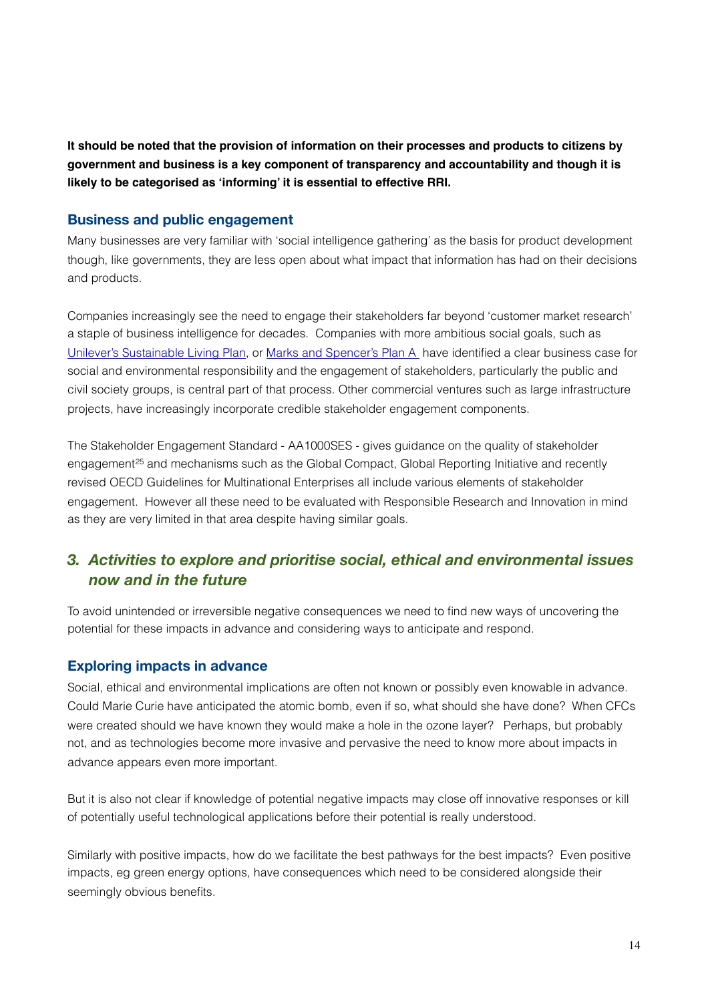**It should be noted that the provision of information on their processes and products to citizens by government and business is a key component of transparency and accountability and though it is likely to be categorised as 'informing' it is essential to effective RRI.**

#### <span id="page-13-0"></span>**Business and public engagement**

Many businesses are very familiar with 'social intelligence gathering' as the basis for product development though, like governments, they are less open about what impact that information has had on their decisions and products.

Companies increasingly see the need to engage their stakeholders far beyond 'customer market research' a staple of business intelligence for decades. Companies with more ambitious social goals, such as [Unilever's Sustainable Living Plan,](http://www.sustainable-living.unilever.com/) or [Marks and Spencer's Plan A](http://plana.marksandspencer.com/) have identified a clear business case for social and environmental responsibility and the engagement of stakeholders, particularly the public and civil society groups, is central part of that process. Other commercial ventures such as large infrastructure projects, have increasingly incorporate credible stakeholder engagement components.

The Stakeholder Engagement Standard - AA1000SES - gives guidance on the quality of stakeholder engagement<sup>25</sup> and mechanisms such as the Global Compact, Global Reporting Initiative and recently revised OECD Guidelines for Multinational Enterprises all include various elements of stakeholder engagement. However all these need to be evaluated with Responsible Research and Innovation in mind as they are very limited in that area despite having similar goals.

### <span id="page-13-1"></span>*3. Activities to explore and prioritise social, ethical and environmental issues now and in the future*

To avoid unintended or irreversible negative consequences we need to find new ways of uncovering the potential for these impacts in advance and considering ways to anticipate and respond.

#### <span id="page-13-2"></span>**Exploring impacts in advance**

Social, ethical and environmental implications are often not known or possibly even knowable in advance. Could Marie Curie have anticipated the atomic bomb, even if so, what should she have done? When CFCs were created should we have known they would make a hole in the ozone layer? Perhaps, but probably not, and as technologies become more invasive and pervasive the need to know more about impacts in advance appears even more important.

But it is also not clear if knowledge of potential negative impacts may close off innovative responses or kill of potentially useful technological applications before their potential is really understood.

Similarly with positive impacts, how do we facilitate the best pathways for the best impacts? Even positive impacts, eg green energy options, have consequences which need to be considered alongside their seemingly obvious benefits.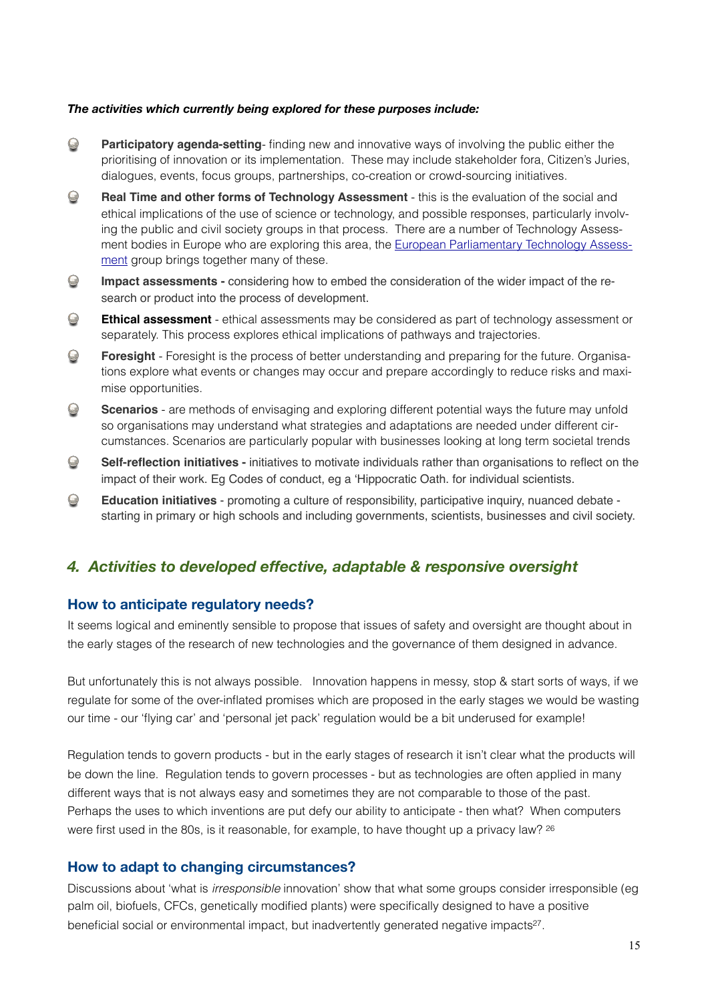#### *The activities which currently being explored for these purposes include:*

- $\bigodot$ **Participatory agenda-setting**- finding new and innovative ways of involving the public either the prioritising of innovation or its implementation. These may include stakeholder fora, Citizen's Juries, dialogues, events, focus groups, partnerships, co-creation or crowd-sourcing initiatives.
- $\bigcirc$ **Real Time and other forms of Technology Assessment** - this is the evaluation of the social and ethical implications of the use of science or technology, and possible responses, particularly involving the public and civil society groups in that process. There are a number of Technology Assessment bodies in Europe who are exploring this area, the [European Parliamentary Technology Assess](http://www.eptanetwork.org/)[ment](http://www.eptanetwork.org/) group brings together many of these.
- $\bigcirc$ **Impact assessments -** considering how to embed the consideration of the wider impact of the research or product into the process of development.
- $\bigcirc$ **Ethical assessment** - ethical assessments may be considered as part of technology assessment or separately. This process explores ethical implications of pathways and trajectories.
- $\bigcirc$ **Foresight** - Foresight is the process of better understanding and preparing for the future. Organisations explore what events or changes may occur and prepare accordingly to reduce risks and maximise opportunities.
- $\bigcirc$ **Scenarios** - are methods of envisaging and exploring different potential ways the future may unfold so organisations may understand what strategies and adaptations are needed under different circumstances. Scenarios are particularly popular with businesses looking at long term societal trends
- $\bigodot$ **Self-reflection initiatives -** initiatives to motivate individuals rather than organisations to reflect on the impact of their work. Eg Codes of conduct, eg a 'Hippocratic Oath. for individual scientists.
- $\bigcirc$ **Education initiatives** - promoting a culture of responsibility, participative inquiry, nuanced debate starting in primary or high schools and including governments, scientists, businesses and civil society.

#### <span id="page-14-0"></span>*4. Activities to developed effective, adaptable & responsive oversight*

#### <span id="page-14-1"></span>**How to anticipate regulatory needs?**

It seems logical and eminently sensible to propose that issues of safety and oversight are thought about in the early stages of the research of new technologies and the governance of them designed in advance.

But unfortunately this is not always possible. Innovation happens in messy, stop & start sorts of ways, if we regulate for some of the over-inflated promises which are proposed in the early stages we would be wasting our time - our 'flying car' and 'personal jet pack' regulation would be a bit underused for example!

Regulation tends to govern products - but in the early stages of research it isn't clear what the products will be down the line. Regulation tends to govern processes - but as technologies are often applied in many different ways that is not always easy and sometimes they are not comparable to those of the past. Perhaps the uses to which inventions are put defy our ability to anticipate - then what? When computers were first used in the 80s, is it reasonable, for example, to have thought up a privacy law? <sup>[26](#page-33-8)</sup>

#### <span id="page-14-2"></span>**How to adapt to changing circumstances?**

Discussions about 'what is *irresponsible* innovation' show that what some groups consider irresponsible (eg palm oil, biofuels, CFCs, genetically modified plants) were specifically designed to have a positive beneficial social or environmental impact, but inadvertently generated negative impacts<sup>[27](#page-33-9)</sup>.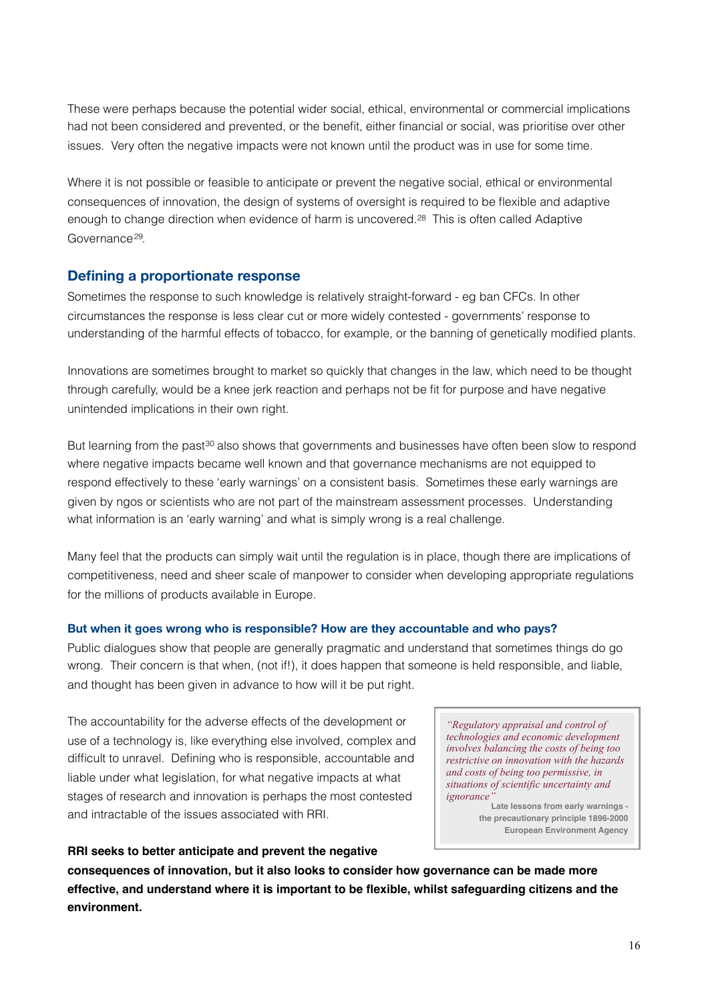These were perhaps because the potential wider social, ethical, environmental or commercial implications had not been considered and prevented, or the benefit, either financial or social, was prioritise over other issues. Very often the negative impacts were not known until the product was in use for some time.

Where it is not possible or feasible to anticipate or prevent the negative social, ethical or environmental consequences of innovation, the design of systems of oversight is required to be flexible and adaptive enough to change direction when evidence of harm is uncovered.[28](#page-33-10) This is often called Adaptive Governance<sup>[29](#page-33-11)</sup>

#### <span id="page-15-0"></span>**Defining a proportionate response**

Sometimes the response to such knowledge is relatively straight-forward - eg ban CFCs. In other circumstances the response is less clear cut or more widely contested - governments' response to understanding of the harmful effects of tobacco, for example, or the banning of genetically modified plants.

Innovations are sometimes brought to market so quickly that changes in the law, which need to be thought through carefully, would be a knee jerk reaction and perhaps not be fit for purpose and have negative unintended implications in their own right.

But learning from the past<sup>30</sup> also shows that governments and businesses have often been slow to respond where negative impacts became well known and that governance mechanisms are not equipped to respond effectively to these 'early warnings' on a consistent basis. Sometimes these early warnings are given by ngos or scientists who are not part of the mainstream assessment processes. Understanding what information is an 'early warning' and what is simply wrong is a real challenge.

Many feel that the products can simply wait until the regulation is in place, though there are implications of competitiveness, need and sheer scale of manpower to consider when developing appropriate regulations for the millions of products available in Europe.

#### <span id="page-15-1"></span>**But when it goes wrong who is responsible? How are they accountable and who pays?**

Public dialogues show that people are generally pragmatic and understand that sometimes things do go wrong. Their concern is that when, (not if!), it does happen that someone is held responsible, and liable, and thought has been given in advance to how will it be put right.

The accountability for the adverse effects of the development or use of a technology is, like everything else involved, complex and difficult to unravel. Defining who is responsible, accountable and liable under what legislation, for what negative impacts at what stages of research and innovation is perhaps the most contested and intractable of the issues associated with RRI.

*"Regulatory appraisal and control of technologies and economic development involves balancing the costs of being too restrictive on innovation with the hazards and costs of being too permissive, in situations of scientific uncertainty and ignorance* 

**Late lessons from early warnings the precautionary principle 1896-2000 European Environment Agency**

#### **RRI seeks to better anticipate and prevent the negative**

**consequences of innovation, but it also looks to consider how governance can be made more effective, and understand where it is important to be flexible, whilst safeguarding citizens and the environment.**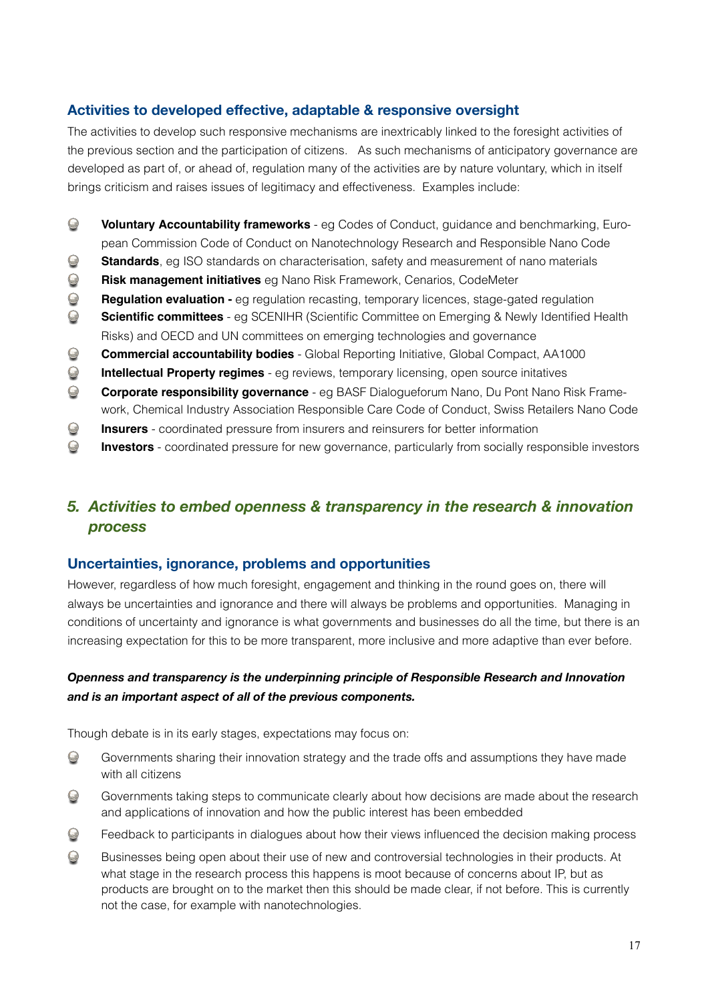#### <span id="page-16-0"></span>**Activities to developed effective, adaptable & responsive oversight**

The activities to develop such responsive mechanisms are inextricably linked to the foresight activities of the previous section and the participation of citizens. As such mechanisms of anticipatory governance are developed as part of, or ahead of, regulation many of the activities are by nature voluntary, which in itself brings criticism and raises issues of legitimacy and effectiveness. Examples include:

- $\bigodot$ **Voluntary Accountability frameworks** - eg Codes of Conduct, guidance and benchmarking, European Commission Code of Conduct on Nanotechnology Research and Responsible Nano Code
- $\bigcirc$ **Standards**, eg ISO standards on characterisation, safety and measurement of nano materials
- $\bigcirc$ **Risk management initiatives** eg Nano Risk Framework, Cenarios, CodeMeter
- $\bigodot$ **Regulation evaluation -** eg regulation recasting, temporary licences, stage-gated regulation
- $\bigcirc$ **Scientific committees** - eg SCENIHR (Scientific Committee on Emerging & Newly Identified Health Risks) and OECD and UN committees on emerging technologies and governance
- $\bigodot$ **Commercial accountability bodies** - Global Reporting Initiative, Global Compact, AA1000
- $\bigcirc$ **Intellectual Property regimes** - eg reviews, temporary licensing, open source initatives
- $\bigcirc$ **Corporate responsibility governance** - eg BASF Dialogueforum Nano, Du Pont Nano Risk Framework, Chemical Industry Association Responsible Care Code of Conduct, Swiss Retailers Nano Code
- $\bigcirc$ **Insurers** - coordinated pressure from insurers and reinsurers for better information
- $\odot$ **Investors** - coordinated pressure for new governance, particularly from socially responsible investors

### <span id="page-16-1"></span>*5. Activities to embed openness & transparency in the research & innovation process*

#### <span id="page-16-2"></span>**Uncertainties, ignorance, problems and opportunities**

However, regardless of how much foresight, engagement and thinking in the round goes on, there will always be uncertainties and ignorance and there will always be problems and opportunities. Managing in conditions of uncertainty and ignorance is what governments and businesses do all the time, but there is an increasing expectation for this to be more transparent, more inclusive and more adaptive than ever before.

#### *Openness and transparency is the underpinning principle of Responsible Research and Innovation and is an important aspect of all of the previous components.*

Though debate is in its early stages, expectations may focus on:

- $\bigcirc$ Governments sharing their innovation strategy and the trade offs and assumptions they have made with all citizens
- $\bigcirc$ Governments taking steps to communicate clearly about how decisions are made about the research and applications of innovation and how the public interest has been embedded
- $\odot$ Feedback to participants in dialogues about how their views influenced the decision making process
- $\Omega$ Businesses being open about their use of new and controversial technologies in their products. At what stage in the research process this happens is moot because of concerns about IP, but as products are brought on to the market then this should be made clear, if not before. This is currently not the case, for example with nanotechnologies.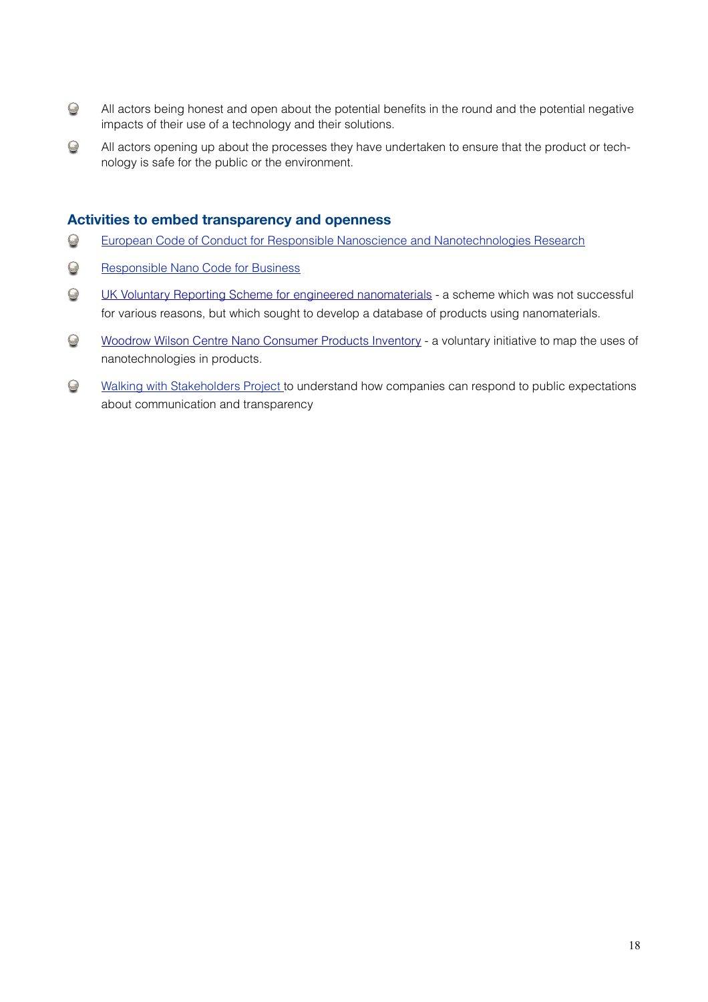- $\bigodot$ All actors being honest and open about the potential benefits in the round and the potential negative impacts of their use of a technology and their solutions.
- $\bigodot$ All actors opening up about the processes they have undertaken to ensure that the product or technology is safe for the public or the environment.

#### <span id="page-17-0"></span>**Activities to embed transparency and openness**

- $\bigcirc$ [European Code of Conduct for Responsible Nanoscience and Nanotechnologies Research](http://ec.europa.eu/nanotechnology/pdf/nanocode-rec_pe0894c_en.pdf)
- $\bigcirc$ [Responsible Nano Code for Business](http://www.nanoandme.org/social-and-ethical/corporate-responsibility/responsible-nano-code/)
- $\bigcirc$ [UK Voluntary Reporting Scheme for engineered nanomaterials](http://archive.defra.gov.uk/environment/quality/nanotech/documents/vrs-nanoscale.pdf) - a scheme which was not successful for various reasons, but which sought to develop a database of products using nanomaterials.
- $\bigcirc$ [Woodrow Wilson Centre Nano Consumer Products Inventory](http://www.nanotechproject.org/inventories/consumer/) - a voluntary initiative to map the uses of nanotechnologies in products.
- $\bigodot$ [Walking with Stakeholders Project](http://www.matterforall.org/projects/walking-with-stakeholders/) to understand how companies can respond to public expectations about communication and transparency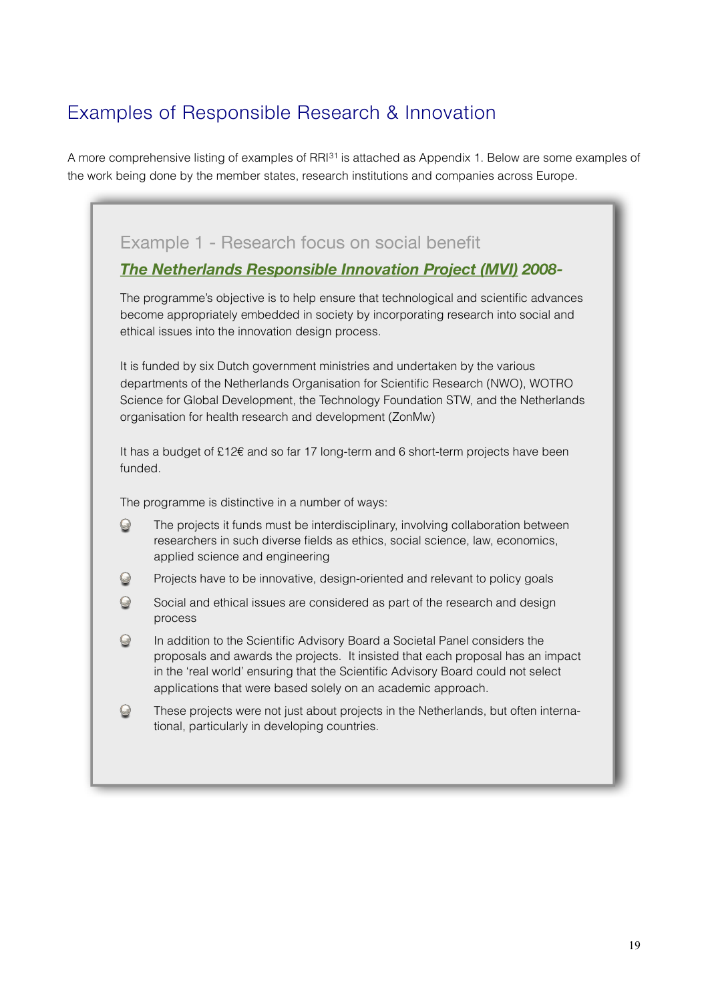## Examples of Responsible Research & Innovation

ł.

A more comprehensive listing of examples of RRI[31](#page-33-13) is attached as Appendix 1. Below are some examples of the work being done by the member states, research institutions and companies across Europe.

|               | <b>The Netherlands Responsible Innovation Project (MVI) 2008-</b>                                                                                                                                                                                                                                                   |
|---------------|---------------------------------------------------------------------------------------------------------------------------------------------------------------------------------------------------------------------------------------------------------------------------------------------------------------------|
|               | The programme's objective is to help ensure that technological and scientific advances<br>become appropriately embedded in society by incorporating research into social and<br>ethical issues into the innovation design process.                                                                                  |
|               | It is funded by six Dutch government ministries and undertaken by the various<br>departments of the Netherlands Organisation for Scientific Research (NWO), WOTRO<br>Science for Global Development, the Technology Foundation STW, and the Netherlands<br>organisation for health research and development (ZonMw) |
| funded.       | It has a budget of $£12€$ and so far 17 long-term and 6 short-term projects have been                                                                                                                                                                                                                               |
|               | The programme is distinctive in a number of ways:                                                                                                                                                                                                                                                                   |
| $\bm{\Theta}$ | The projects it funds must be interdisciplinary, involving collaboration between<br>researchers in such diverse fields as ethics, social science, law, economics,<br>applied science and engineering                                                                                                                |
|               | Projects have to be innovative, design-oriented and relevant to policy goals                                                                                                                                                                                                                                        |
| $\bm{\Theta}$ |                                                                                                                                                                                                                                                                                                                     |
| $\bm{\Theta}$ | Social and ethical issues are considered as part of the research and design<br>process                                                                                                                                                                                                                              |
| $\bm{\Theta}$ | In addition to the Scientific Advisory Board a Societal Panel considers the<br>proposals and awards the projects. It insisted that each proposal has an impact<br>in the 'real world' ensuring that the Scientific Advisory Board could not select<br>applications that were based solely on an academic approach.  |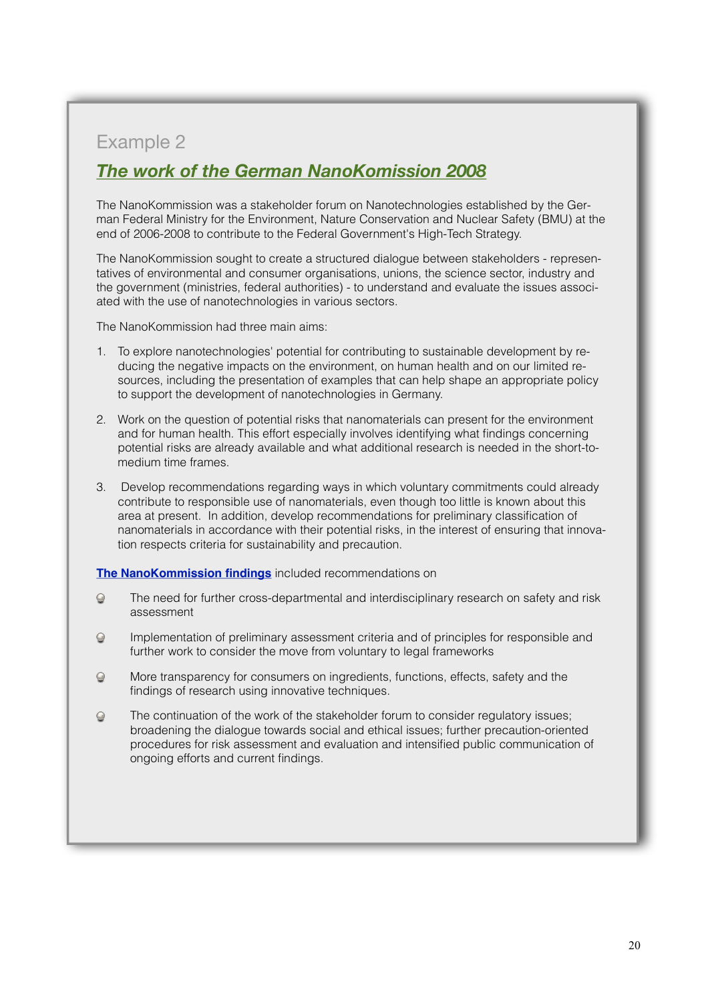## *The work of the German [NanoKomission](http://www.bmu.de/english/nanotechnology/nanodialog/doc/47547.php) 2008*

The NanoKommission was a stakeholder forum on Nanotechnologies established by the German Federal Ministry for the Environment, Nature Conservation and Nuclear Safety (BMU) at the end of 2006-2008 to contribute to the Federal Government's High-Tech Strategy.

The NanoKommission sought to create a structured dialogue between stakeholders - representatives of environmental and consumer organisations, unions, the science sector, industry and the government (ministries, federal authorities) - to understand and evaluate the issues associated with the use of nanotechnologies in various sectors.

The NanoKommission had three main aims:

- 1. To explore nanotechnologies' potential for contributing to sustainable development by reducing the negative impacts on the environment, on human health and on our limited resources, including the presentation of examples that can help shape an appropriate policy to support the development of nanotechnologies in Germany.
- 2. Work on the question of potential risks that nanomaterials can present for the environment and for human health. This effort especially involves identifying what findings concerning potential risks are already available and what additional research is needed in the short-tomedium time frames.
- 3. Develop recommendations regarding ways in which voluntary commitments could already contribute to responsible use of nanomaterials, even though too little is known about this area at present. In addition, develop recommendations for preliminary classification of nanomaterials in accordance with their potential risks, in the interest of ensuring that innovation respects criteria for sustainability and precaution.

**[The NanoKommission findings](http://www.bmu.de/english/nanotechnology/nanodialog/doc/47547.php)** included recommendations on

- $\odot$ The need for further cross-departmental and interdisciplinary research on safety and risk assessment
- Implementation of preliminary assessment criteria and of principles for responsible and  $\odot$ further work to consider the move from voluntary to legal frameworks
- More transparency for consumers on ingredients, functions, effects, safety and the  $\odot$ findings of research using innovative techniques.
- $\odot$ The continuation of the work of the stakeholder forum to consider regulatory issues; broadening the dialogue towards social and ethical issues; further precaution-oriented procedures for risk assessment and evaluation and intensified public communication of ongoing efforts and current findings.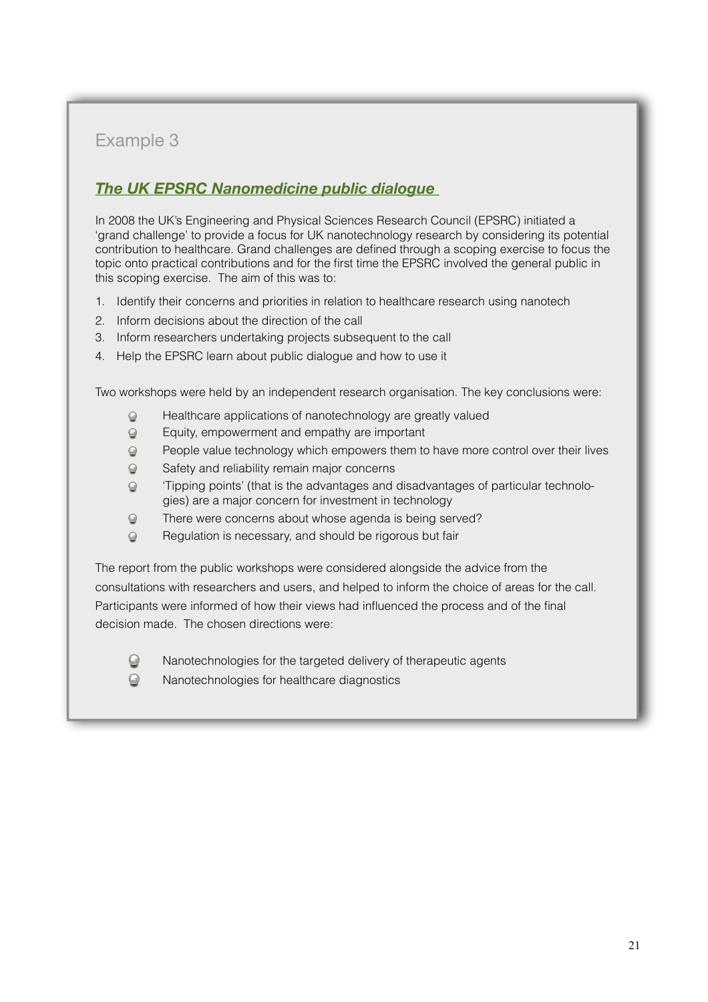## *The UK EPSRC [Nanomedicine](http://www.epsrc.ac.uk/SiteCollectionDocuments/Publications/reports/ReportPublicDialogueNanotechHealthcare.doc) public dialogue*

In 2008 the UK's Engineering and Physical Sciences Research Council (EPSRC) initiated a 'grand challenge' to provide a focus for UK nanotechnology research by considering its potential contribution to healthcare. Grand challenges are defined through a scoping exercise to focus the topic onto practical contributions and for the first time the EPSRC involved the general public in this scoping exercise. The aim of this was to:

- 1. Identify their concerns and priorities in relation to healthcare research using nanotech
- 2. Inform decisions about the direction of the call
- 3. Inform researchers undertaking projects subsequent to the call
- 4. Help the EPSRC learn about public dialogue and how to use it

Two workshops were held by an independent research organisation. The key conclusions were:

- Healthcare applications of nanotechnology are greatly valued  $\odot$
- Equity, empowerment and empathy are important  $\odot$
- People value technology which empowers them to have more control over their lives  $\odot$
- Safety and reliability remain major concerns  $\Theta$
- 'Tipping points' (that is the advantages and disadvantages of particular technolo- $\odot$ gies) are a major concern for investment in technology
- $\odot$ There were concerns about whose agenda is being served?
- Regulation is necessary, and should be rigorous but fair  $\odot$

The report from the public workshops were considered alongside the advice from the consultations with researchers and users, and helped to inform the choice of areas for the call. Participants were informed of how their views had influenced the process and of the final decision made. The chosen directions were:



Nanotechnologies for the targeted delivery of therapeutic agents

Nanotechnologies for healthcare diagnostics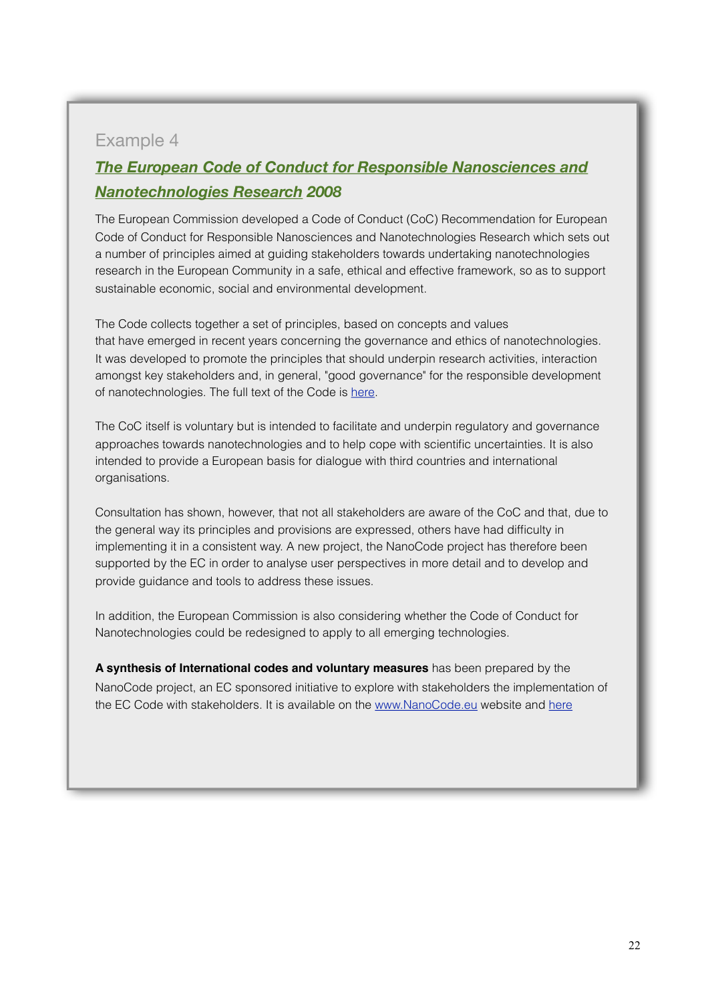## *The European Code of Conduct for Responsible [Nanosciences](http://ec.europa.eu/nanotechnology/pdf/nanocode-rec_pe0894c_en.pdf) and [Nanotechnologies](http://ec.europa.eu/nanotechnology/pdf/nanocode-rec_pe0894c_en.pdf) Research 2008*

The European Commission developed a Code of Conduct (CoC) Recommendation for European Code of Conduct for Responsible Nanosciences and Nanotechnologies Research which sets out a number of principles aimed at guiding stakeholders towards undertaking nanotechnologies research in the European Community in a safe, ethical and effective framework, so as to support sustainable economic, social and environmental development.

The Code collects together a set of principles, based on concepts and values that have emerged in recent years concerning the governance and ethics of nanotechnologies. It was developed to promote the principles that should underpin research activities, interaction amongst key stakeholders and, in general, "good governance" for the responsible development of nanotechnologies. The full text of the Code is [here.](http://ec.europa.eu/nanotechnology/pdf/nanocode-rec_pe0894c_en.pdf)

The CoC itself is voluntary but is intended to facilitate and underpin regulatory and governance approaches towards nanotechnologies and to help cope with scientific uncertainties. It is also intended to provide a European basis for dialogue with third countries and international organisations.

Consultation has shown, however, that not all stakeholders are aware of the CoC and that, due to the general way its principles and provisions are expressed, others have had difficulty in implementing it in a consistent way. A new project, the NanoCode project has therefore been supported by the EC in order to analyse user perspectives in more detail and to develop and provide guidance and tools to address these issues.

In addition, the European Commission is also considering whether the Code of Conduct for Nanotechnologies could be redesigned to apply to all emerging technologies.

**A synthesis of International codes and voluntary measures** has been prepared by the NanoCode project, an EC sponsored initiative to explore with stakeholders the implementation of the EC Code with stakeholders. It is available on the [www.NanoCode.eu](http://www.NanoCode.eu) website and [here](http://www.nanocode.eu/files/reports/nanocode/nanocode-project-synthesis-report.pdf)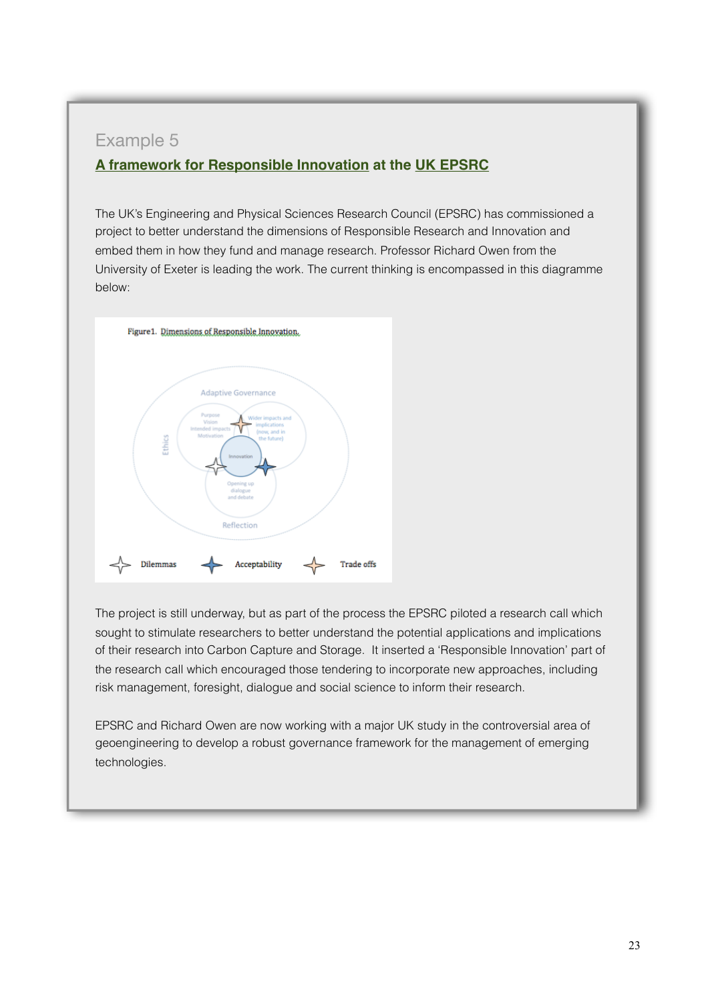### **A framework for [Responsible Innovation](http://www.bmu.de/english/nanotechnology/nanodialog/doc/47547.php) at the [UK EPSRC](http://www.bmu.de/english/nanotechnology/nanodialog/doc/47547.php)**

The UK's Engineering and Physical Sciences Research Council (EPSRC) has commissioned a project to better understand the dimensions of Responsible Research and Innovation and embed them in how they fund and manage research. Professor Richard Owen from the University of Exeter is leading the work. The current thinking is encompassed in this diagramme below:



The project is still underway, but as part of the process the EPSRC piloted a research call which sought to stimulate researchers to better understand the potential applications and implications of their research into Carbon Capture and Storage. It inserted a 'Responsible Innovation' part of the research call which encouraged those tendering to incorporate new approaches, including risk management, foresight, dialogue and social science to inform their research.

EPSRC and Richard Owen are now working with a major UK study in the controversial area of geoengineering to develop a robust governance framework for the management of emerging technologies.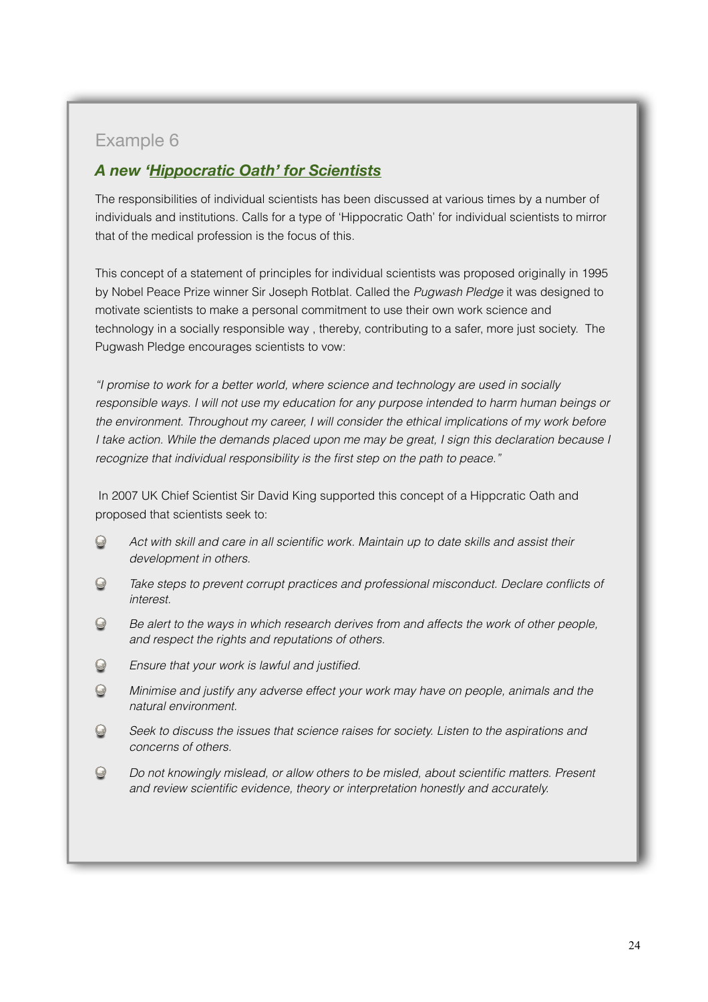### *A new '[Hippocratic](http://en.wikipedia.org/wiki/Hippocratic_Oath_for_scientists) Oath' for Scientists*

The responsibilities of individual scientists has been discussed at various times by a number of individuals and institutions. Calls for a type of 'Hippocratic Oath' for individual scientists to mirror that of the medical profession is the focus of this.

This concept of a statement of principles for individual scientists was proposed originally in 1995 by Nobel Peace Prize winner Sir Joseph Rotblat. Called the *[Pugwash Pledge](http://www.spusa.org/pledge/)* it was designed to motivate scientists to make a personal commitment to use their own work science and technology in a socially responsible way , thereby, contributing to a safer, more just society. The Pugwash Pledge encourages scientists to vow:

*"I promise to work for a better world, where science and technology are used in socially responsible ways. I will not use my education for any purpose intended to harm human beings or the environment. Throughout my career, I will consider the ethical implications of my work before I take action. While the demands placed upon me may be great, I sign this declaration because I recognize that individual responsibility is the first step on the path to peace."*

 In 2007 UK Chief Scientist Sir David King supported this concept of a Hippcratic Oath and proposed that scientists seek to:

- $\odot$ *Act with skill and care in all scientific work. Maintain up to date skills and assist their development in others.*
- $\odot$ *Take steps to prevent corrupt practices and professional misconduct. Declare conflicts of interest.*
- *Be alert to the ways in which research derives from and affects the work of other people,*   $\odot$ *and respect the rights and reputations of others.*
- $\odot$ *Ensure that your work is lawful and justified.*
- $\odot$ *Minimise and justify any adverse effect your work may have on people, animals and the natural environment.*
- $\odot$ *Seek to discuss the issues that science raises for society. Listen to the aspirations and concerns of others.*
- $\odot$ *Do not knowingly mislead, or allow others to be misled, about scientific matters. Present and review scientific evidence, theory or interpretation honestly and accurately.*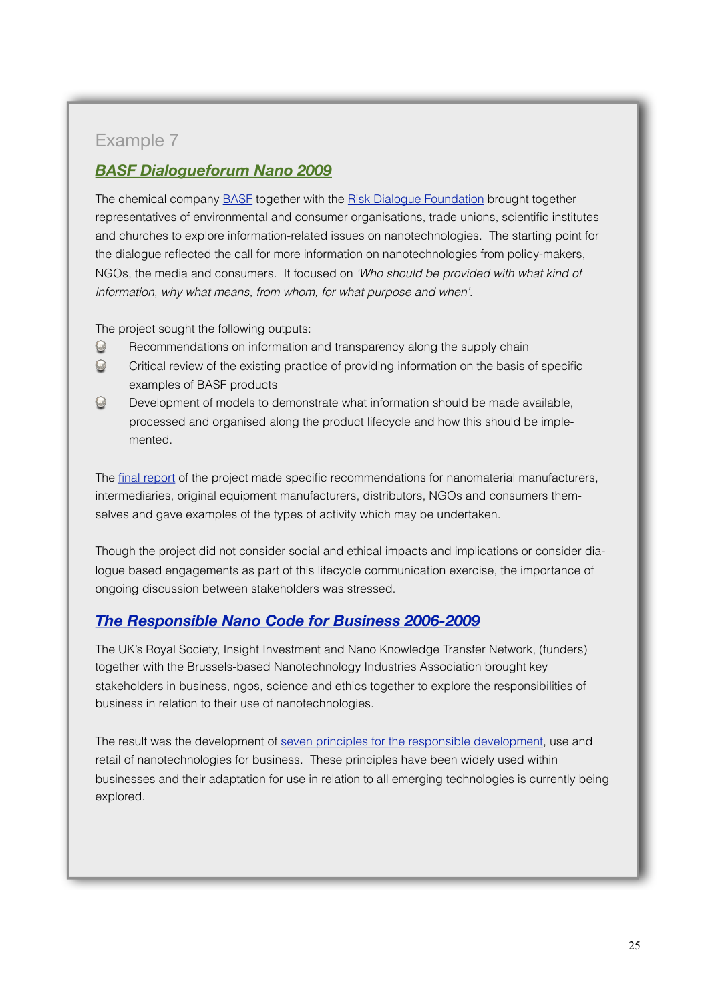## *BASF [Dialogueforum](http://www.risiko-dialog.ch/images/RD-Media/PDF/Themen/Nanotechnologie/basf_dialogueforum_nano_2010_en.pdf) Nano 2009*

The chemical company **BASF** together with the [Risk Dialogue Foundation](http://www.risiko-dialog.ch/Overview%20in%20English) brought together representatives of environmental and consumer organisations, trade unions, scientific institutes and churches to explore information-related issues on nanotechnologies. The starting point for the dialogue reflected the call for more information on nanotechnologies from policy-makers, NGOs, the media and consumers. It focused on *'Who should be provided with what kind of information, why what means, from whom, for what purpose and when'*.

The project sought the following outputs:

- $\odot$ Recommendations on information and transparency along the supply chain
- $\odot$ Critical review of the existing practice of providing information on the basis of specific examples of BASF products
- $\odot$ Development of models to demonstrate what information should be made available, processed and organised along the product lifecycle and how this should be implemented.

The [final report](http://www.risiko-dialog.ch/images/RD-Media/PDF/Themen/Nanotechnologie/basf_dialogueforum_nano_2010_en.pdf) of the project made specific recommendations for nanomaterial manufacturers, intermediaries, original equipment manufacturers, distributors, NGOs and consumers themselves and gave examples of the types of activity which may be undertaken.

Though the project did not consider social and ethical impacts and implications or consider dialogue based engagements as part of this lifecycle communication exercise, the importance of ongoing discussion between stakeholders was stressed.

### *The [Responsible](http://www.nanoandme.org/social-and-ethical/corporate-responsibility/responsible-nano-code/) Nano Code for Business 2006-2009*

The UK's Royal Society, Insight Investment and Nano Knowledge Transfer Network, (funders) together with the Brussels-based Nanotechnology Industries Association brought key stakeholders in business, ngos, science and ethics together to explore the responsibilities of business in relation to their use of nanotechnologies.

The result was the development of [seven principles for the responsible development](http://livepage.apple.com/), use and retail of nanotechnologies for business. These principles have been widely used within businesses and their adaptation for use in relation to all emerging technologies is currently being explored.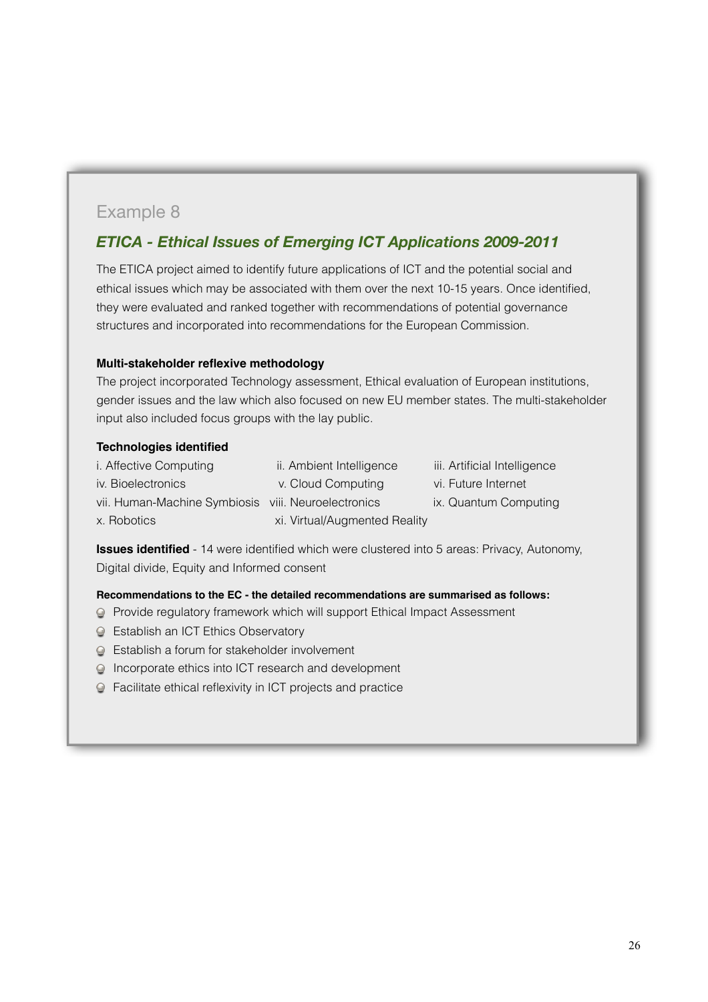## *[ETICA](http://www.bmu.de/english/nanotechnology/nanodialog/doc/47547.php) - Ethical Issues of Emerging ICT Applications 2009-2011*

The ETICA project aimed to identify future applications of ICT and the potential social and ethical issues which may be associated with them over the next 10-15 years. Once identified, they were evaluated and ranked together with recommendations of potential governance structures and incorporated into recommendations for the European Commission.

#### **Multi-stakeholder reflexive methodology**

The project incorporated Technology assessment, Ethical evaluation of European institutions, gender issues and the law which also focused on new EU member states. The multi-stakeholder input also included focus groups with the lay public.

#### **Technologies identified**

| <i>i.</i> Affective Computing                       | ii. Ambient Intelligence      |
|-----------------------------------------------------|-------------------------------|
| iv. Bioelectronics                                  | v. Cloud Computing            |
| vii. Human-Machine Symbiosis viii. Neuroelectronics |                               |
| x. Robotics                                         | xi. Virtual/Augmented Reality |

- iii. Artificial Intelligence
- vi. Future Internet
- ix. Quantum Computing

**Issues identified** - 14 were identified which were clustered into 5 areas: Privacy, Autonomy, Digital divide, Equity and Informed consent

#### **Recommendations to the EC - the detailed recommendations are summarised as follows:**

- Provide regulatory framework which will support Ethical Impact Assessment
- **Establish an ICT Ethics Observatory**
- Establish a forum for stakeholder involvement
- Incorporate ethics into ICT research and development
- Facilitate ethical reflexivity in ICT projects and practice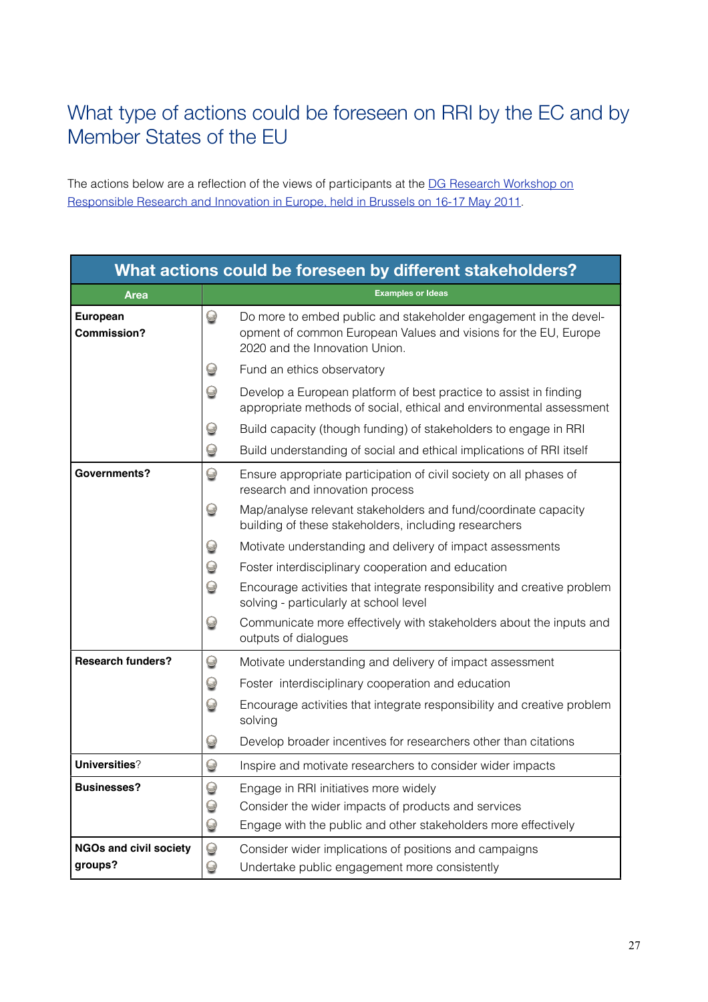## <span id="page-26-0"></span>What type of actions could be foreseen on RRI by the EC and by Member States of the EU

The actions below are a reflection of the views of participants at the DG Research Workshop on [Responsible Research and Innovation in Europe, held in Brussels on 16-17 May 2011.](http://ec.europa.eu/research/science-society/document_library/pdf_06/responsible-research-and-innovation-workshop-newsletter_en.pdf)

| What actions could be foreseen by different stakeholders? |                           |                                                                                                                                                                       |
|-----------------------------------------------------------|---------------------------|-----------------------------------------------------------------------------------------------------------------------------------------------------------------------|
| <b>Area</b>                                               |                           | <b>Examples or Ideas</b>                                                                                                                                              |
| European<br><b>Commission?</b>                            | $\bigcirc$                | Do more to embed public and stakeholder engagement in the devel-<br>opment of common European Values and visions for the EU, Europe<br>2020 and the Innovation Union. |
|                                                           | $\bigcirc$                | Fund an ethics observatory                                                                                                                                            |
|                                                           | $\bm{\Theta}$             | Develop a European platform of best practice to assist in finding<br>appropriate methods of social, ethical and environmental assessment                              |
|                                                           | $\color{red} \bm{\omega}$ | Build capacity (though funding) of stakeholders to engage in RRI                                                                                                      |
|                                                           | $\Theta$                  | Build understanding of social and ethical implications of RRI itself                                                                                                  |
| Governments?                                              | $\bigcirc$                | Ensure appropriate participation of civil society on all phases of<br>research and innovation process                                                                 |
|                                                           | $\Theta$                  | Map/analyse relevant stakeholders and fund/coordinate capacity<br>building of these stakeholders, including researchers                                               |
|                                                           | $\bm{\Theta}$             | Motivate understanding and delivery of impact assessments                                                                                                             |
|                                                           | $\Theta$                  | Foster interdisciplinary cooperation and education                                                                                                                    |
|                                                           | $\Theta$                  | Encourage activities that integrate responsibility and creative problem<br>solving - particularly at school level                                                     |
|                                                           | $\bigcirc$                | Communicate more effectively with stakeholders about the inputs and<br>outputs of dialogues                                                                           |
| <b>Research funders?</b>                                  | $\bm{\Theta}$             | Motivate understanding and delivery of impact assessment                                                                                                              |
|                                                           | $\Theta$                  | Foster interdisciplinary cooperation and education                                                                                                                    |
|                                                           | $\bm{\Theta}$             | Encourage activities that integrate responsibility and creative problem<br>solving                                                                                    |
|                                                           | $\bigcirc$                | Develop broader incentives for researchers other than citations                                                                                                       |
| Universities?                                             | $\Theta$                  | Inspire and motivate researchers to consider wider impacts                                                                                                            |
| <b>Businesses?</b>                                        | $\bigcirc$                | Engage in RRI initiatives more widely                                                                                                                                 |
|                                                           | $\bm{\Theta}$             | Consider the wider impacts of products and services                                                                                                                   |
|                                                           | $\bigcirc$                | Engage with the public and other stakeholders more effectively                                                                                                        |
| <b>NGOs and civil society</b><br>groups?                  | $\bigcirc$<br>$\bigcirc$  | Consider wider implications of positions and campaigns<br>Undertake public engagement more consistently                                                               |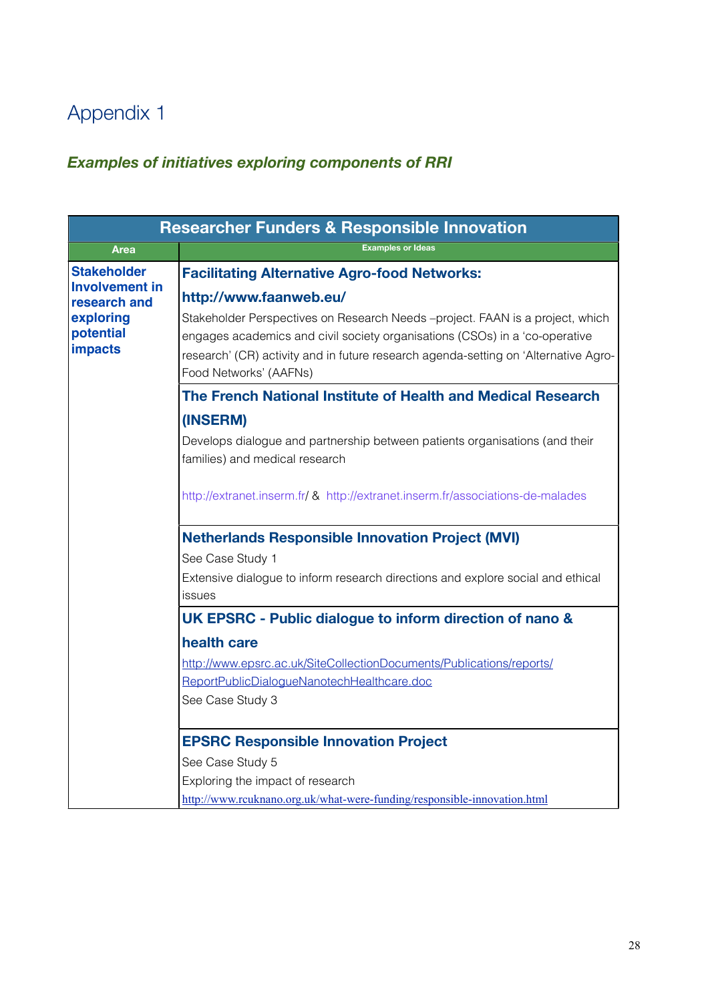## Appendix 1

## <span id="page-27-0"></span>*Examples of initiatives exploring components of RRI*

|                                          | <b>Researcher Funders &amp; Responsible Innovation</b>                                                                                                                                                                                                                        |
|------------------------------------------|-------------------------------------------------------------------------------------------------------------------------------------------------------------------------------------------------------------------------------------------------------------------------------|
| <b>Area</b>                              | <b>Examples or Ideas</b>                                                                                                                                                                                                                                                      |
| <b>Stakeholder</b>                       | <b>Facilitating Alternative Agro-food Networks:</b>                                                                                                                                                                                                                           |
| <b>Involvement in</b><br>research and    | http://www.faanweb.eu/                                                                                                                                                                                                                                                        |
| exploring<br>potential<br><b>impacts</b> | Stakeholder Perspectives on Research Needs -project. FAAN is a project, which<br>engages academics and civil society organisations (CSOs) in a 'co-operative<br>research' (CR) activity and in future research agenda-setting on 'Alternative Agro-<br>Food Networks' (AAFNs) |
|                                          | The French National Institute of Health and Medical Research                                                                                                                                                                                                                  |
|                                          | (INSERM)                                                                                                                                                                                                                                                                      |
|                                          | Develops dialogue and partnership between patients organisations (and their<br>families) and medical research                                                                                                                                                                 |
|                                          | http://extranet.inserm.fr/ & http://extranet.inserm.fr/associations-de-malades                                                                                                                                                                                                |
|                                          | <b>Netherlands Responsible Innovation Project (MVI)</b>                                                                                                                                                                                                                       |
|                                          | See Case Study 1                                                                                                                                                                                                                                                              |
|                                          | Extensive dialogue to inform research directions and explore social and ethical<br>issues                                                                                                                                                                                     |
|                                          | UK EPSRC - Public dialogue to inform direction of nano &                                                                                                                                                                                                                      |
|                                          | health care                                                                                                                                                                                                                                                                   |
|                                          | http://www.epsrc.ac.uk/SiteCollectionDocuments/Publications/reports/                                                                                                                                                                                                          |
|                                          | ReportPublicDialogueNanotechHealthcare.doc                                                                                                                                                                                                                                    |
|                                          | See Case Study 3                                                                                                                                                                                                                                                              |
|                                          | <b>EPSRC Responsible Innovation Project</b>                                                                                                                                                                                                                                   |
|                                          | See Case Study 5                                                                                                                                                                                                                                                              |
|                                          | Exploring the impact of research                                                                                                                                                                                                                                              |
|                                          | http://www.rcuknano.org.uk/what-were-funding/responsible-innovation.html                                                                                                                                                                                                      |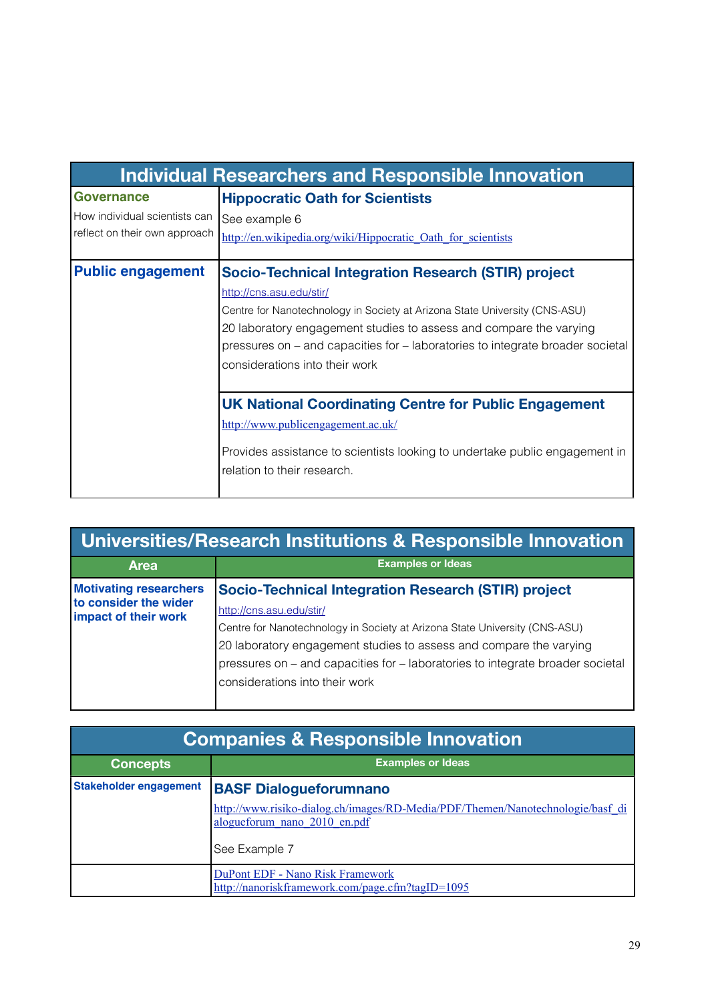| <b>Individual Researchers and Responsible Innovation</b>                        |                                                                                |  |
|---------------------------------------------------------------------------------|--------------------------------------------------------------------------------|--|
| <b>Governance</b>                                                               | <b>Hippocratic Oath for Scientists</b>                                         |  |
| How individual scientists can                                                   | See example 6                                                                  |  |
| reflect on their own approach                                                   | http://en.wikipedia.org/wiki/Hippocratic Oath for scientists                   |  |
| <b>Public engagement</b><br>Socio-Technical Integration Research (STIR) project |                                                                                |  |
|                                                                                 | http://cns.asu.edu/stir/                                                       |  |
|                                                                                 | Centre for Nanotechnology in Society at Arizona State University (CNS-ASU)     |  |
|                                                                                 | 20 laboratory engagement studies to assess and compare the varying             |  |
|                                                                                 | pressures on – and capacities for – laboratories to integrate broader societal |  |
|                                                                                 | considerations into their work                                                 |  |
|                                                                                 |                                                                                |  |
|                                                                                 | <b>UK National Coordinating Centre for Public Engagement</b>                   |  |
|                                                                                 | http://www.publicengagement.ac.uk/                                             |  |
|                                                                                 | Provides assistance to scientists looking to undertake public engagement in    |  |
|                                                                                 | relation to their research.                                                    |  |

| Universities/Research Institutions & Responsible Innovation                    |                                                                                |  |
|--------------------------------------------------------------------------------|--------------------------------------------------------------------------------|--|
| <b>Area</b>                                                                    | <b>Examples or Ideas</b>                                                       |  |
| <b>Motivating researchers</b><br>to consider the wider<br>impact of their work | <b>Socio-Technical Integration Research (STIR) project</b>                     |  |
|                                                                                | http://cns.asu.edu/stir/                                                       |  |
|                                                                                | Centre for Nanotechnology in Society at Arizona State University (CNS-ASU)     |  |
|                                                                                | 20 laboratory engagement studies to assess and compare the varying             |  |
|                                                                                | pressures on – and capacities for – laboratories to integrate broader societal |  |
|                                                                                | considerations into their work                                                 |  |
|                                                                                |                                                                                |  |

| <b>Companies &amp; Responsible Innovation</b> |                                                                                                                |  |
|-----------------------------------------------|----------------------------------------------------------------------------------------------------------------|--|
| <b>Concepts</b>                               | <b>Examples or Ideas</b>                                                                                       |  |
| <b>Stakeholder engagement</b>                 | <b>BASF Dialogueforumnano</b>                                                                                  |  |
|                                               | http://www.risiko-dialog.ch/images/RD-Media/PDF/Themen/Nanotechnologie/basf_di<br>alogueforum nano 2010 en.pdf |  |
|                                               | See Example 7                                                                                                  |  |
|                                               | DuPont EDF - Nano Risk Framework<br>http://nanoriskframework.com/page.cfm?tagID=1095                           |  |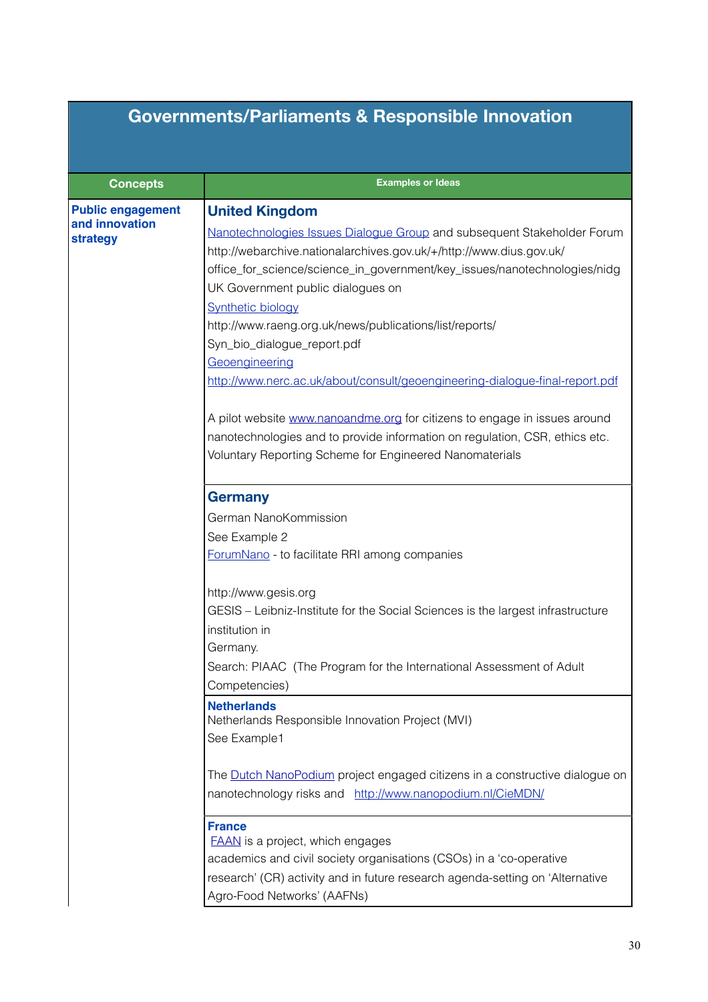## **Governments/Parliaments & Responsible Innovation**

| <b>Concepts</b>                                        | <b>Examples or Ideas</b>                                                                                                                                                                                                                                                                                                                                                                                                                                                                                                                                                                       |
|--------------------------------------------------------|------------------------------------------------------------------------------------------------------------------------------------------------------------------------------------------------------------------------------------------------------------------------------------------------------------------------------------------------------------------------------------------------------------------------------------------------------------------------------------------------------------------------------------------------------------------------------------------------|
| <b>Public engagement</b><br>and innovation<br>strategy | <b>United Kingdom</b><br>Nanotechnologies Issues Dialogue Group and subsequent Stakeholder Forum<br>http://webarchive.nationalarchives.gov.uk/+/http://www.dius.gov.uk/<br>office_for_science/science_in_government/key_issues/nanotechnologies/nidg<br>UK Government public dialogues on<br><b>Synthetic biology</b><br>http://www.raeng.org.uk/news/publications/list/reports/<br>Syn_bio_dialogue_report.pdf<br>Geoengineering<br>http://www.nerc.ac.uk/about/consult/geoengineering-dialogue-final-report.pdf<br>A pilot website www.nanoandme.org for citizens to engage in issues around |
|                                                        | nanotechnologies and to provide information on regulation, CSR, ethics etc.<br>Voluntary Reporting Scheme for Engineered Nanomaterials                                                                                                                                                                                                                                                                                                                                                                                                                                                         |
|                                                        | <b>Germany</b><br>German NanoKommission<br>See Example 2<br>ForumNano - to facilitate RRI among companies                                                                                                                                                                                                                                                                                                                                                                                                                                                                                      |
|                                                        | http://www.gesis.org<br>GESIS – Leibniz-Institute for the Social Sciences is the largest infrastructure<br>institution in<br>Germany.<br>Search: PIAAC (The Program for the International Assessment of Adult<br>Competencies)                                                                                                                                                                                                                                                                                                                                                                 |
|                                                        | <b>Netherlands</b><br>Netherlands Responsible Innovation Project (MVI)<br>See Example1                                                                                                                                                                                                                                                                                                                                                                                                                                                                                                         |
|                                                        | The Dutch NanoPodium project engaged citizens in a constructive dialogue on<br>nanotechnology risks and http://www.nanopodium.nl/CieMDN/                                                                                                                                                                                                                                                                                                                                                                                                                                                       |
|                                                        | <b>France</b><br><b>FAAN</b> is a project, which engages<br>academics and civil society organisations (CSOs) in a 'co-operative<br>research' (CR) activity and in future research agenda-setting on 'Alternative<br>Agro-Food Networks' (AAFNs)                                                                                                                                                                                                                                                                                                                                                |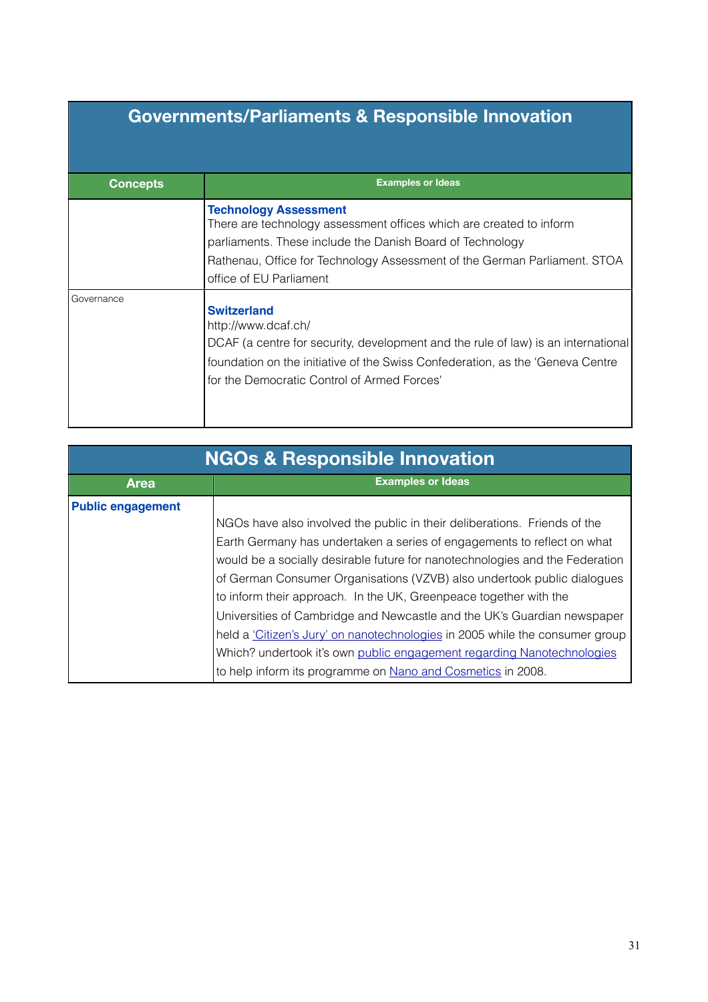## **Governments/Parliaments & Responsible Innovation**

| <b>Concepts</b>   | <b>Examples or Ideas</b>                                                                                                                                                                                                                                                 |
|-------------------|--------------------------------------------------------------------------------------------------------------------------------------------------------------------------------------------------------------------------------------------------------------------------|
|                   | <b>Technology Assessment</b><br>There are technology assessment offices which are created to inform<br>parliaments. These include the Danish Board of Technology<br>Rathenau, Office for Technology Assessment of the German Parliament. STOA<br>office of EU Parliament |
| <b>Governance</b> | <b>Switzerland</b><br>http://www.dcaf.ch/<br>DCAF (a centre for security, development and the rule of law) is an international<br>foundation on the initiative of the Swiss Confederation, as the 'Geneva Centre'<br>for the Democratic Control of Armed Forces'         |

| <b>NGOs &amp; Responsible Innovation</b> |                                                                              |
|------------------------------------------|------------------------------------------------------------------------------|
| <b>Area</b>                              | <b>Examples or Ideas</b>                                                     |
| <b>Public engagement</b>                 |                                                                              |
|                                          | NGOs have also involved the public in their deliberations. Friends of the    |
|                                          | Earth Germany has undertaken a series of engagements to reflect on what      |
|                                          | would be a socially desirable future for nanotechnologies and the Federation |
|                                          | of German Consumer Organisations (VZVB) also undertook public dialogues      |
|                                          | to inform their approach. In the UK, Greenpeace together with the            |
|                                          | Universities of Cambridge and Newcastle and the UK's Guardian newspaper      |
|                                          | held a 'Citizen's Jury' on nanotechnologies in 2005 while the consumer group |
|                                          | Which? undertook it's own public engagement regarding Nanotechnologies       |
|                                          | to help inform its programme on Nano and Cosmetics in 2008.                  |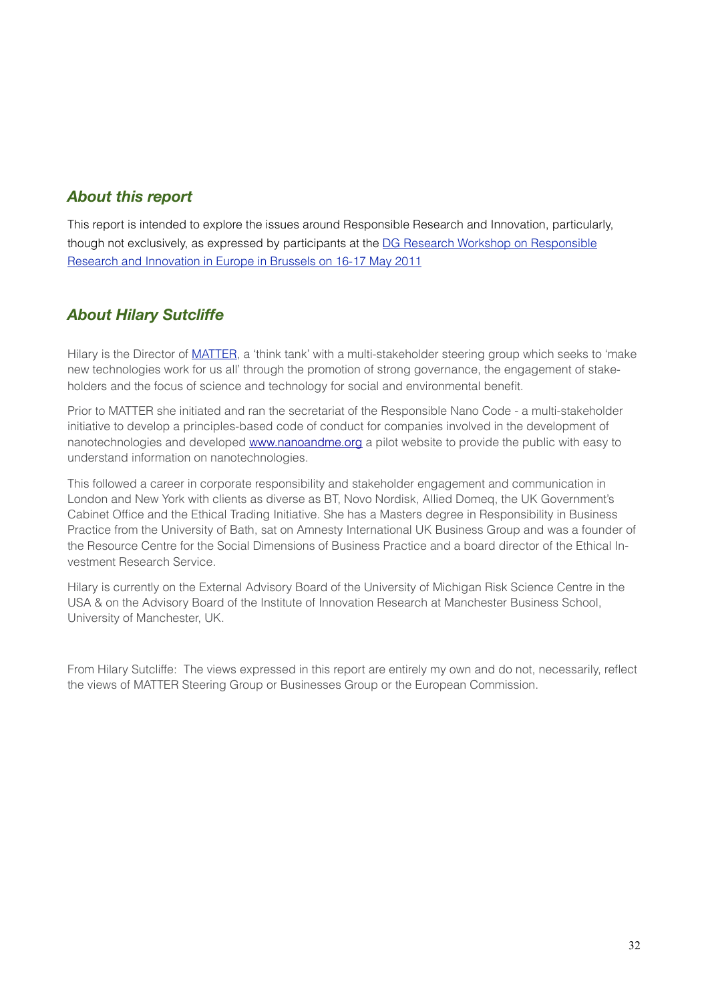### *About this report*

This report is intended to explore the issues around Responsible Research and Innovation, particularly, though not exclusively, as expressed by participants at the [DG Research Workshop on Responsible](http://livepage.apple.com/)  [Research and Innovation in Europe in Brussels on 16-17 May 2011](http://livepage.apple.com/)

### <span id="page-31-0"></span>*About Hilary Sutcliffe*

Hilary is the Director of [MATTER](http://www.matterforall.org/), a 'think tank' with a multi-stakeholder steering group which seeks to 'make new technologies work for us all' through the promotion of strong governance, the engagement of stakeholders and the focus of science and technology for social and environmental benefit.

Prior to MATTER she initiated and ran the secretariat of the Responsible Nano Code - a multi-stakeholder initiative to develop a principles-based code of conduct for companies involved in the development of nanotechnologies and developed [www.nanoandme.org](http://www.nanoandme.org) a pilot website to provide the public with easy to understand information on nanotechnologies.

This followed a career in corporate responsibility and stakeholder engagement and communication in London and New York with clients as diverse as BT, Novo Nordisk, Allied Domeq, the UK Government's Cabinet Office and the Ethical Trading Initiative. She has a Masters degree in Responsibility in Business Practice from the University of Bath, sat on Amnesty International UK Business Group and was a founder of the Resource Centre for the Social Dimensions of Business Practice and a board director of the Ethical Investment Research Service.

Hilary is currently on the External Advisory Board of the University of Michigan Risk Science Centre in the USA & on the Advisory Board of the Institute of Innovation Research at Manchester Business School, University of Manchester, UK.

From Hilary Sutcliffe: The views expressed in this report are entirely my own and do not, necessarily, reflect the views of MATTER Steering Group or Businesses Group or the European Commission.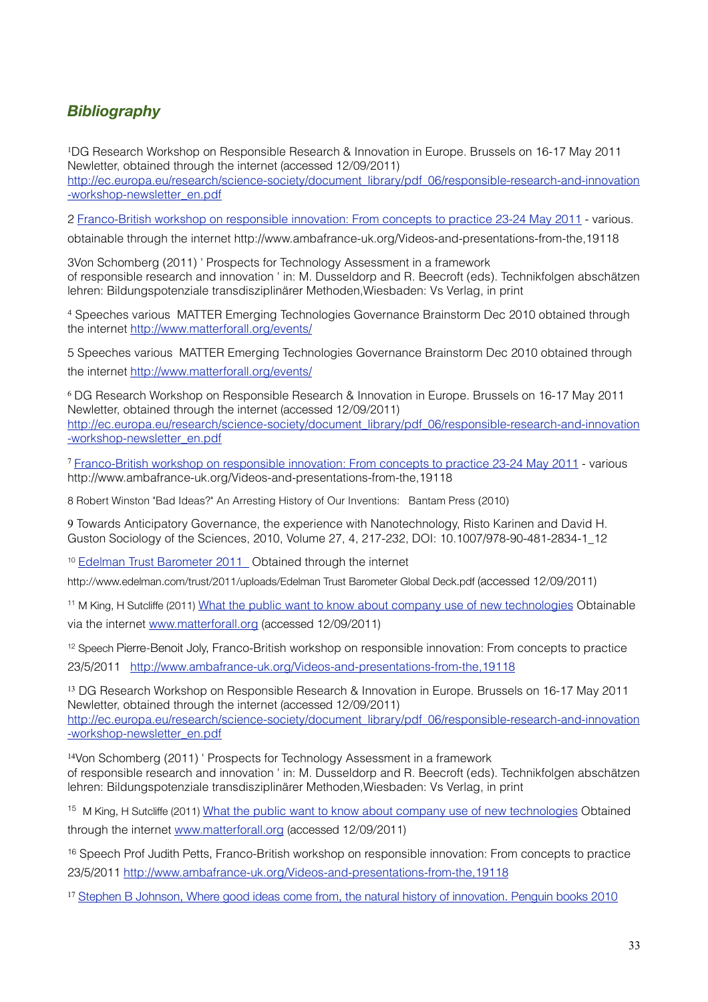## <span id="page-32-0"></span>*Bibliography*

<span id="page-32-1"></span><sup>1</sup>DG Research Workshop on Responsible Research & Innovation in Europe. Brussels on 16-17 May 2011 Newletter, obtained through the internet (accessed 12/09/2011) [http://ec.europa.eu/research/science-society/document\\_library/pdf\\_06/responsible-research-and-innovation](http://ec.europa.eu/research/science-society/document_library/pdf_06/responsible-research-and-innovation-workshop-newsletter_en.pdf) [-workshop-newsletter\\_en.pdf](http://ec.europa.eu/research/science-society/document_library/pdf_06/responsible-research-and-innovation-workshop-newsletter_en.pdf)

<span id="page-32-2"></span>2 [Franco-British workshop on responsible innovation: From concepts to practice 23-24 May 2011](http://www.ambafrance-uk.org/Videos-and-presentations-from-the,19118) - various.

obtainable through the internet http://www.ambafrance-uk.org/Videos-and-presentations-from-the,19118

<span id="page-32-3"></span>3Von Schomberg (2011) ' Prospects for Technology Assessment in a framework of responsible research and innovation ' in: M. Dusseldorp and R. Beecroft (eds). Technikfolgen abschätzen lehren: Bildungspotenziale transdisziplinärer Methoden,Wiesbaden: Vs Verlag, in print

<span id="page-32-4"></span>4 Speeches various MATTER Emerging Technologies Governance Brainstorm Dec 2010 obtained through the internet <http://www.matterforall.org/events/>

<span id="page-32-5"></span>5 Speeches various MATTER Emerging Technologies Governance Brainstorm Dec 2010 obtained through the internet <http://www.matterforall.org/events/>

<span id="page-32-6"></span><sup>6</sup> DG Research Workshop on Responsible Research & Innovation in Europe. Brussels on 16-17 May 2011 Newletter, obtained through the internet (accessed 12/09/2011) [http://ec.europa.eu/research/science-society/document\\_library/pdf\\_06/responsible-research-and-innovation](http://ec.europa.eu/research/science-society/document_library/pdf_06/responsible-research-and-innovation-workshop-newsletter_en.pdf) [-workshop-newsletter\\_en.pdf](http://ec.europa.eu/research/science-society/document_library/pdf_06/responsible-research-and-innovation-workshop-newsletter_en.pdf)

<span id="page-32-7"></span><sup>7</sup> [Franco-British workshop on responsible innovation: From concepts to practice 23-24 May 2011](http://www.ambafrance-uk.org/Videos-and-presentations-from-the,19118) - various http://www.ambafrance-uk.org/Videos-and-presentations-from-the,19118

<span id="page-32-8"></span>8 Robert Winston "Bad Ideas?" An Arresting History of Our Inventions: Bantam Press (2010)

<span id="page-32-9"></span>9 Towards Anticipatory Governance, the experience with Nanotechnology, [Risto Karinen](http://www.springerlink.com/content/?Author=Risto+Karinen) and [David H.](http://www.springerlink.com/content/?Author=David+H.+Guston)  [Guston](http://www.springerlink.com/content/?Author=David+H.+Guston) [Sociology of the Sciences](http://www.springerlink.com/content/0167-2320/), 2010, Volume 27, 4, 217-232, DOI: 10.1007/978-90-481-2834-1\_12

<span id="page-32-10"></span><sup>10</sup> Edelman Trust Barometer 2011\_ Obtained through the internet

http://www.edelman.com/trust/2011/uploads/Edelman Trust Barometer Global Deck.pdf (accessed 12/09/2011)

<span id="page-32-11"></span><sup>11</sup> M King, H Sutcliffe (2011) [What the public want to know about company use of new technologies](http://www.matterforall.org/pdf/MATTER-What-does-the-public-want-re-nano-Final.pdf) Obtainable via the internet [www.matterforall.org](http://www.matterforall.org) (accessed 12/09/2011)

<span id="page-32-12"></span>12 Speech Pierre-Benoit Joly, Franco-British workshop on responsible innovation: From concepts to practice 23/5/2011 <http://www.ambafrance-uk.org/Videos-and-presentations-from-the,19118>

<span id="page-32-13"></span><sup>13</sup> DG Research Workshop on Responsible Research & Innovation in Europe. Brussels on 16-17 May 2011 Newletter, obtained through the internet (accessed 12/09/2011) [http://ec.europa.eu/research/science-society/document\\_library/pdf\\_06/responsible-research-and-innovation](http://ec.europa.eu/research/science-society/document_library/pdf_06/responsible-research-and-innovation-workshop-newsletter_en.pdf) [-workshop-newsletter\\_en.pdf](http://ec.europa.eu/research/science-society/document_library/pdf_06/responsible-research-and-innovation-workshop-newsletter_en.pdf)

<span id="page-32-14"></span><sup>14</sup>Von Schomberg (2011) ' Prospects for Technology Assessment in a framework of responsible research and innovation ' in: M. Dusseldorp and R. Beecroft (eds). Technikfolgen abschätzen lehren: Bildungspotenziale transdisziplinärer Methoden,Wiesbaden: Vs Verlag, in print

<span id="page-32-15"></span><sup>15</sup> M King, H Sutcliffe (2011) [What the public want to know about company use of new technologies](http://www.matterforall.org/pdf/MATTER-What-does-the-public-want-re-nano-Final.pdf) Obtained through the internet [www.matterforall.org](http://www.matterforall.org) (accessed 12/09/2011)

<span id="page-32-16"></span>16 Speech Prof Judith Petts, Franco-British workshop on responsible innovation: From concepts to practice 23/5/2011 <http://www.ambafrance-uk.org/Videos-and-presentations-from-the,19118>

<span id="page-32-17"></span><sup>17</sup> [Stephen B Johnson, Where good ideas come from, the natural history of innovation. Penguin books 2010](http://livepage.apple.com/)